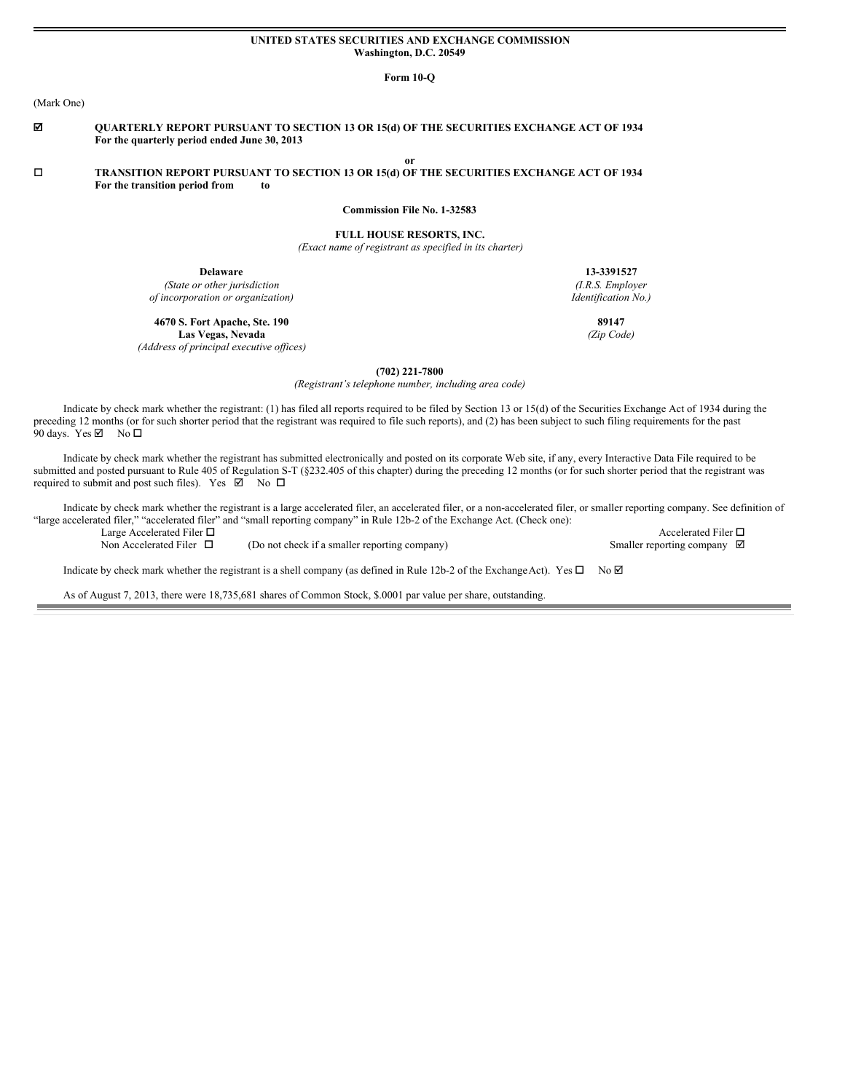#### **UNITED STATES SECURITIES AND EXCHANGE COMMISSION Washington, D.C. 20549**

**Form 10-Q**

(Mark One)

### þ **QUARTERLY REPORT PURSUANT TO SECTION 13 OR 15(d) OF THE SECURITIES EXCHANGE ACT OF 1934 For the quarterly period ended June 30, 2013**

**or**

o **TRANSITION REPORT PURSUANT TO SECTION 13 OR 15(d) OF THE SECURITIES EXCHANGE ACT OF 1934 For the transition period from to**

**Commission File No. 1-32583**

**FULL HOUSE RESORTS, INC.**

*(Exact name of registrant as specified in its charter)*

**Delaware**

*(State or other jurisdiction of incorporation or organization)*

**4670 S. Fort Apache, Ste. 190 Las Vegas, Nevada**

*(Address of principal executive of ices)*

**(702) 221-7800**

*(Registrant's telephone number, including area code)*

Indicate by check mark whether the registrant: (1) has filed all reports required to be filed by Section 13 or 15(d) of the Securities Exchange Act of 1934 during the preceding 12 months (or for such shorter period that the registrant was required to file such reports), and (2) has been subject to such filing requirements for the past 90 days. Yes  $\boxtimes$  No  $\square$ 

Indicate by check mark whether the registrant has submitted electronically and posted on its corporate Web site, if any, every Interactive Data File required to be submitted and posted pursuant to Rule 405 of Regulation S-T (§232.405 of this chapter) during the preceding 12 months (or for such shorter period that the registrant was required to submit and post such files). Yes  $\boxtimes$  No  $\square$ 

Indicate by check mark whether the registrant is a large accelerated filer, an accelerated filer, or a non-accelerated filer, or smaller reporting company. See definition of "large accelerated filer," "accelerated filer" and "small reporting company" in Rule 12b-2 of the Exchange Act. (Check one): Large Accelerated Filer  $\square$  Accelerated Filer  $\square$ 

Non Accelerated Filer  $\Box$  (Do not check if a smaller reporting company) Smaller reporting company  $\boxtimes$ 

Indicate by check mark whether the registrant is a shell company (as defined in Rule 12b-2 of the ExchangeAct). Yes  $\Box$  No  $\Box$ 

As of August 7, 2013, there were 18,735,681 shares of Common Stock, \$.0001 par value per share, outstanding.

**13-3391527** *(I.R.S. Employer Identification No.)*

**89147**

*(Zip Code)*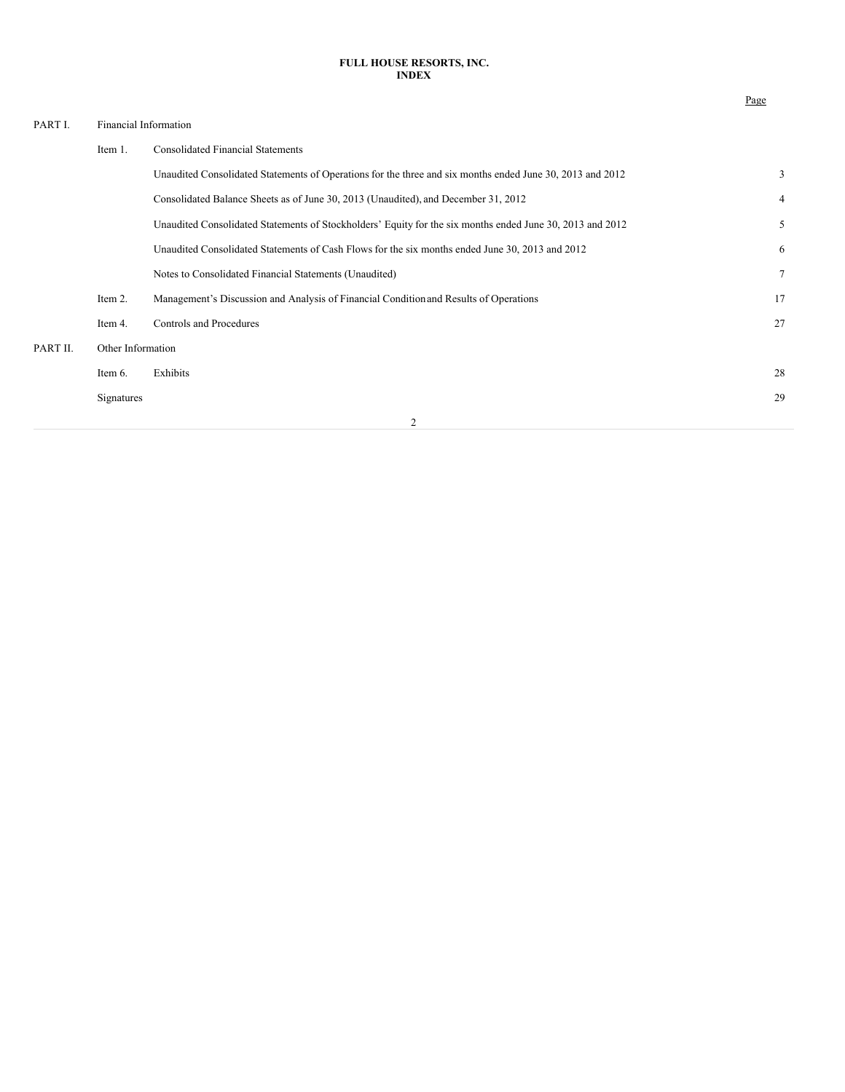# PART I. Financial Information

PART II.

| Item 1.           | <b>Consolidated Financial Statements</b>                                                                  |                |
|-------------------|-----------------------------------------------------------------------------------------------------------|----------------|
|                   | Unaudited Consolidated Statements of Operations for the three and six months ended June 30, 2013 and 2012 | 3              |
|                   | Consolidated Balance Sheets as of June 30, 2013 (Unaudited), and December 31, 2012                        | $\overline{4}$ |
|                   | Unaudited Consolidated Statements of Stockholders' Equity for the six months ended June 30, 2013 and 2012 | 5              |
|                   | Unaudited Consolidated Statements of Cash Flows for the six months ended June 30, 2013 and 2012           | 6              |
|                   | Notes to Consolidated Financial Statements (Unaudited)                                                    | 7              |
| Item 2.           | Management's Discussion and Analysis of Financial Condition and Results of Operations                     | 17             |
| Item 4.           | <b>Controls and Procedures</b>                                                                            | 27             |
| Other Information |                                                                                                           |                |
| Item 6.           | Exhibits                                                                                                  | 28             |
| Signatures        |                                                                                                           | 29             |

Page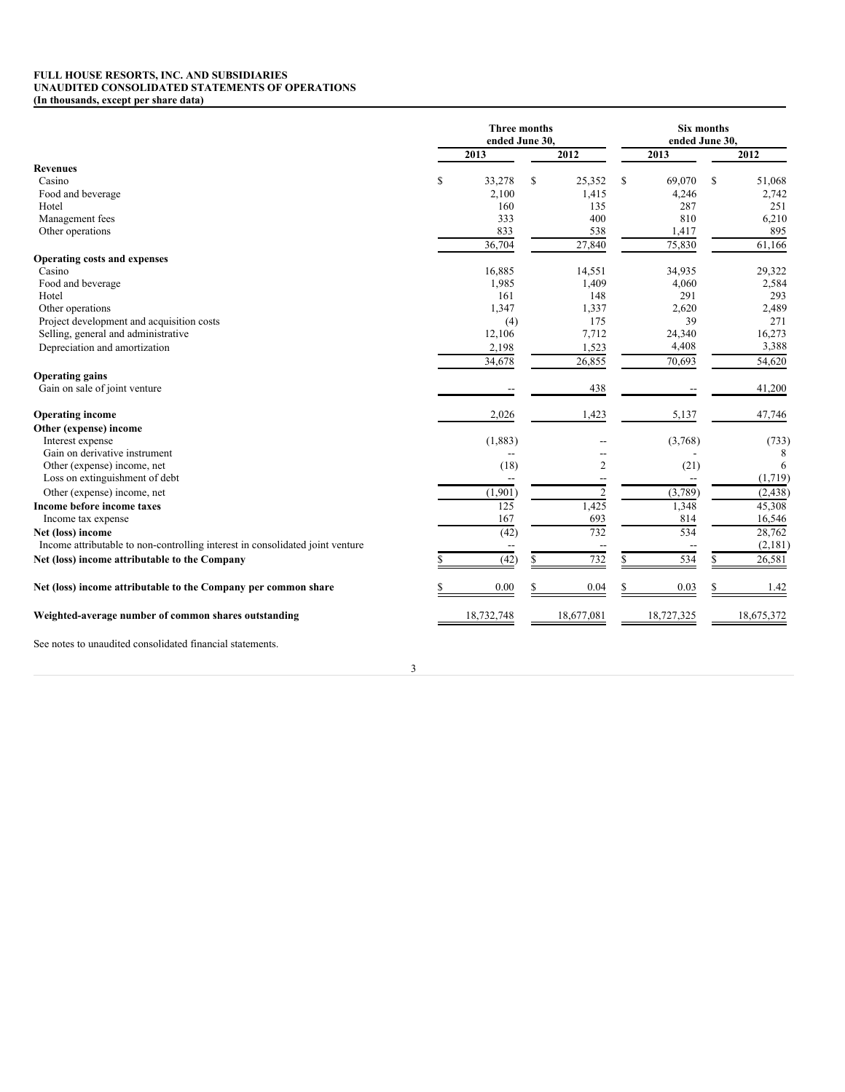### **FULL HOUSE RESORTS, INC. AND SUBSIDIARIES UNAUDITED CONSOLIDATED STATEMENTS OF OPERATIONS (In thousands, except per share data)**

|                                                                               | Three months<br>ended June 30. |                          |    | <b>Six months</b><br>ended June 30. |    |            |
|-------------------------------------------------------------------------------|--------------------------------|--------------------------|----|-------------------------------------|----|------------|
|                                                                               | 2013                           | 2012                     |    | 2013                                |    | 2012       |
| <b>Revenues</b>                                                               |                                |                          |    |                                     |    |            |
| Casino                                                                        | \$<br>33,278                   | \$<br>25,352             | \$ | 69,070                              | \$ | 51,068     |
| Food and beverage                                                             | 2,100                          | 1,415                    |    | 4,246                               |    | 2,742      |
| Hotel                                                                         | 160                            | 135                      |    | 287                                 |    | 251        |
| Management fees                                                               | 333                            | 400                      |    | 810                                 |    | 6,210      |
| Other operations                                                              | 833                            | 538                      |    | 1,417                               |    | 895        |
|                                                                               | 36,704                         | 27,840                   |    | 75,830                              |    | 61,166     |
| <b>Operating costs and expenses</b>                                           |                                |                          |    |                                     |    |            |
| Casino                                                                        | 16,885                         | 14,551                   |    | 34,935                              |    | 29,322     |
| Food and beverage                                                             | 1,985                          | 1,409                    |    | 4,060                               |    | 2,584      |
| Hotel                                                                         | 161                            | 148                      |    | 291                                 |    | 293        |
| Other operations                                                              | 1,347                          | 1,337                    |    | 2,620                               |    | 2,489      |
| Project development and acquisition costs                                     | (4)                            | 175                      |    | 39                                  |    | 271        |
| Selling, general and administrative                                           | 12,106                         | 7,712                    |    | 24,340                              |    | 16,273     |
| Depreciation and amortization                                                 | 2,198                          | 1,523                    |    | 4,408                               |    | 3,388      |
|                                                                               | 34,678                         | 26,855                   |    | 70,693                              |    | 54,620     |
| <b>Operating gains</b>                                                        |                                |                          |    |                                     |    |            |
| Gain on sale of joint venture                                                 |                                | 438                      |    |                                     |    | 41,200     |
| <b>Operating income</b>                                                       | 2,026                          | 1,423                    |    | 5,137                               |    | 47,746     |
| Other (expense) income                                                        |                                |                          |    |                                     |    |            |
| Interest expense                                                              | (1,883)                        |                          |    | (3,768)                             |    | (733)      |
| Gain on derivative instrument                                                 |                                | $\overline{\phantom{a}}$ |    |                                     |    | 8          |
| Other (expense) income, net                                                   | (18)                           | $\overline{2}$           |    | (21)                                |    | 6          |
| Loss on extinguishment of debt                                                | $\overline{\phantom{a}}$       | $\overline{\phantom{a}}$ |    | $\overline{\phantom{a}}$            |    | (1, 719)   |
| Other (expense) income, net                                                   | (1,901)                        | $\overline{2}$           |    | (3,789)                             |    | (2, 438)   |
| Income before income taxes                                                    | 125                            | 1,425                    |    | 1,348                               |    | 45,308     |
| Income tax expense                                                            | 167                            | 693                      |    | 814                                 |    | 16,546     |
| Net (loss) income                                                             | (42)                           | 732                      |    | $\sqrt{534}$                        |    | 28,762     |
| Income attributable to non-controlling interest in consolidated joint venture | $-$                            | $\overline{\phantom{a}}$ |    | $\overline{\phantom{a}}$            |    | (2,181)    |
| Net (loss) income attributable to the Company                                 | (42)                           | $\frac{732}{ }$          |    | 534                                 |    | 26,581     |
| Net (loss) income attributable to the Company per common share                | 0.00                           | 0.04                     |    | 0.03                                |    | 1.42       |
| Weighted-average number of common shares outstanding                          | 18,732,748                     | 18,677,081               |    | 18,727,325                          |    | 18,675,372 |

See notes to unaudited consolidated financial statements.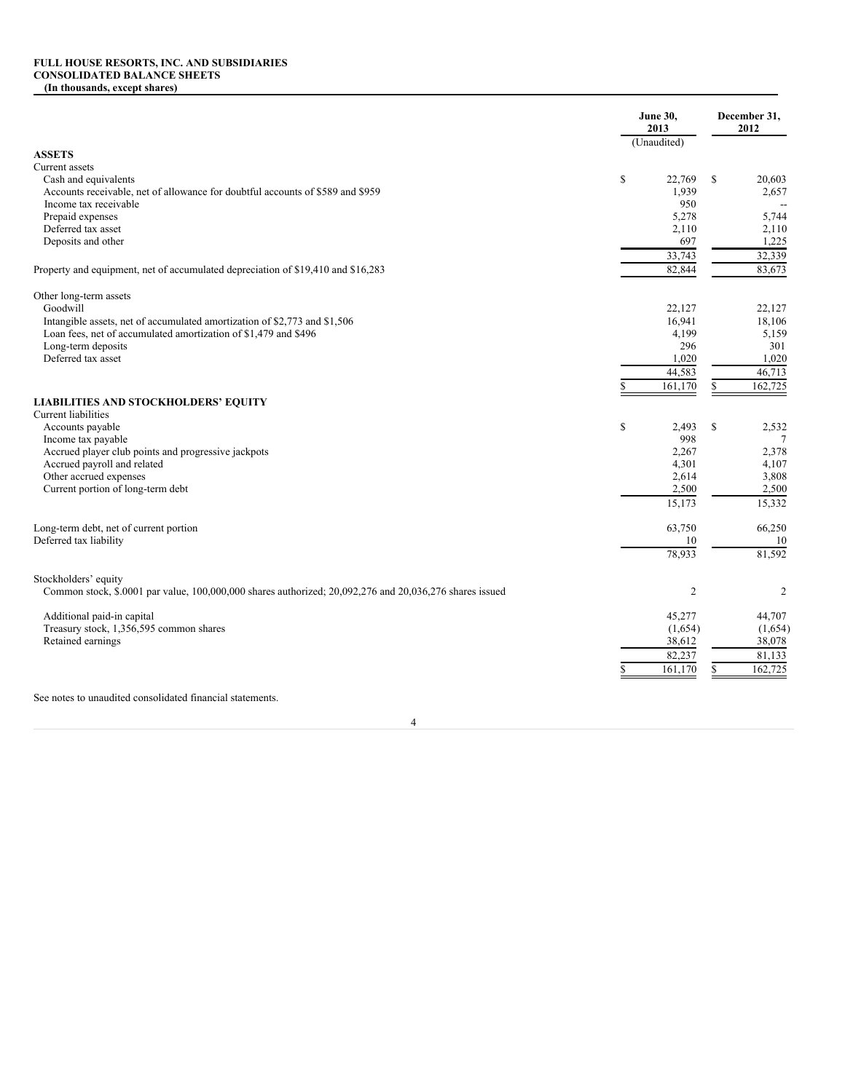|                                                                                                         | <b>June 30,</b><br>2013 | December 31,<br>2012     |
|---------------------------------------------------------------------------------------------------------|-------------------------|--------------------------|
|                                                                                                         | (Unaudited)             |                          |
| <b>ASSETS</b>                                                                                           |                         |                          |
| Current assets                                                                                          |                         |                          |
| Cash and equivalents<br>Accounts receivable, net of allowance for doubtful accounts of \$589 and \$959  | \$<br>22,769<br>1,939   | \$<br>20,603<br>2,657    |
| Income tax receivable                                                                                   | 950                     | $\overline{\phantom{a}}$ |
| Prepaid expenses                                                                                        | 5,278                   | 5,744                    |
| Deferred tax asset                                                                                      | 2,110                   | 2,110                    |
| Deposits and other                                                                                      | 697                     | 1,225                    |
|                                                                                                         | 33,743                  | 32,339                   |
|                                                                                                         |                         |                          |
| Property and equipment, net of accumulated depreciation of \$19,410 and \$16,283                        | 82,844                  | 83,673                   |
| Other long-term assets                                                                                  |                         |                          |
| Goodwill                                                                                                | 22,127                  | 22,127                   |
| Intangible assets, net of accumulated amortization of \$2,773 and \$1,506                               | 16,941                  | 18,106                   |
| Loan fees, net of accumulated amortization of \$1,479 and \$496                                         | 4,199                   | 5,159                    |
| Long-term deposits<br>Deferred tax asset                                                                | 296<br>1,020            | 301<br>1,020             |
|                                                                                                         |                         |                          |
|                                                                                                         | 44,583                  | 46,713                   |
|                                                                                                         | 161,170                 | 162,725                  |
| <b>LIABILITIES AND STOCKHOLDERS' EQUITY</b>                                                             |                         |                          |
| <b>Current liabilities</b>                                                                              |                         |                          |
| Accounts payable                                                                                        | \$<br>2,493             | \$<br>2,532              |
| Income tax payable                                                                                      | 998                     | $\tau$                   |
| Accrued player club points and progressive jackpots                                                     | 2,267                   | 2,378                    |
| Accrued payroll and related                                                                             | 4,301                   | 4,107                    |
| Other accrued expenses                                                                                  | 2,614                   | 3,808                    |
| Current portion of long-term debt                                                                       | 2,500                   | 2,500                    |
|                                                                                                         | 15,173                  | 15,332                   |
| Long-term debt, net of current portion                                                                  | 63,750                  | 66,250                   |
| Deferred tax liability                                                                                  | 10                      | 10                       |
|                                                                                                         | 78,933                  | 81,592                   |
| Stockholders' equity                                                                                    |                         |                          |
| Common stock, \$.0001 par value, 100,000,000 shares authorized; 20,092,276 and 20,036,276 shares issued | $\overline{2}$          | 2                        |
| Additional paid-in capital                                                                              | 45,277                  | 44.707                   |
| Treasury stock, 1,356,595 common shares                                                                 | (1,654)                 | (1,654)                  |
| Retained earnings                                                                                       | 38,612                  | 38,078                   |
|                                                                                                         | 82,237                  | 81,133                   |
|                                                                                                         | 161,170                 | 162,725                  |
|                                                                                                         |                         |                          |

4

See notes to unaudited consolidated financial statements.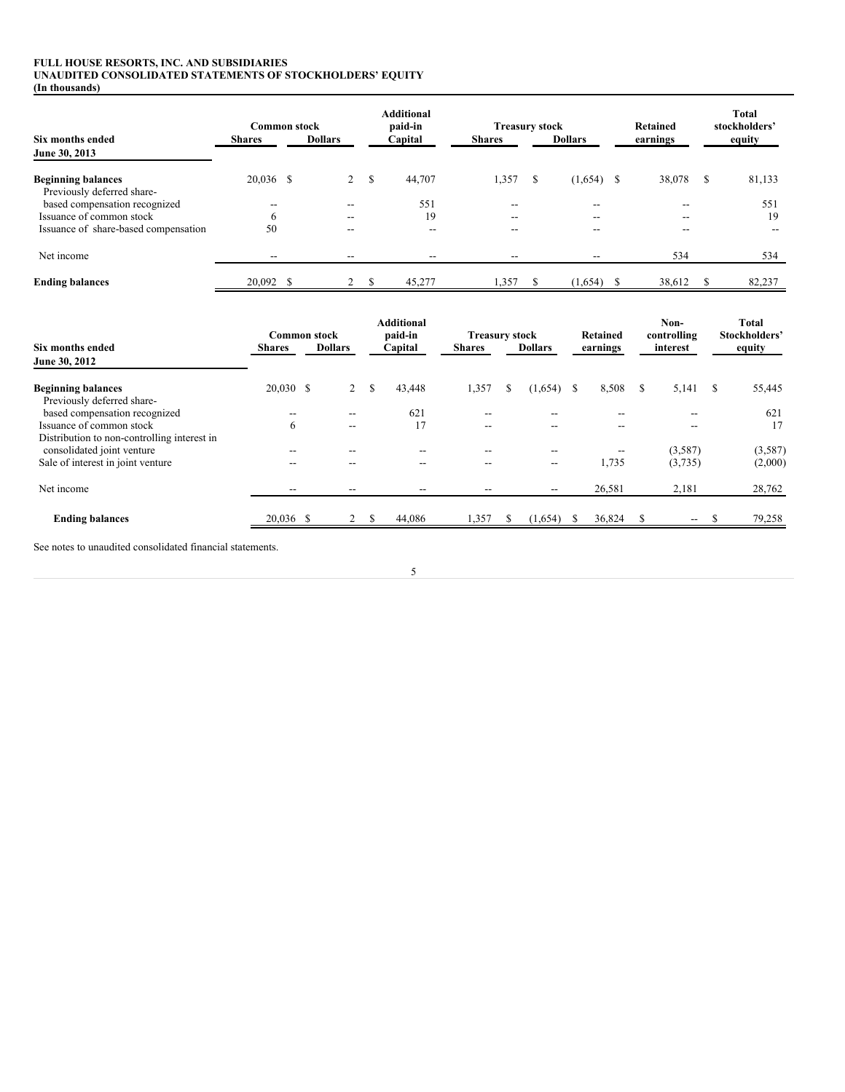### **FULL HOUSE RESORTS, INC. AND SUBSIDIARIES UNAUDITED CONSOLIDATED STATEMENTS OF STOCKHOLDERS' EQUITY (In thousands)**

| Six months ended<br>June 30, 2013                           | <b>Common stock</b><br><b>Shares</b> | <b>Dollars</b> |    | <b>Additional</b><br>paid-in<br>Capital | <b>Treasury stock</b><br><b>Shares</b> |   | <b>Dollars</b> | <b>Retained</b><br>earnings |   | <b>Total</b><br>stockholders'<br>equity |
|-------------------------------------------------------------|--------------------------------------|----------------|----|-----------------------------------------|----------------------------------------|---|----------------|-----------------------------|---|-----------------------------------------|
| <b>Beginning balances</b>                                   | 20,036 \$                            | $\overline{2}$ | -S | 44,707                                  | 1,357                                  | S | (1,654)        | \$<br>38,078                | S | 81,133                                  |
| Previously deferred share-<br>based compensation recognized |                                      | --             |    | 551                                     | --                                     |   | --             | --                          |   | 551                                     |
| Issuance of common stock                                    | 6                                    | --             |    | 19                                      | --                                     |   | --             | $- -$                       |   | 19                                      |
| Issuance of share-based compensation                        | 50                                   | --             |    | $\overline{\phantom{m}}$                | $- -$                                  |   | --             | $- -$                       |   | $\hspace{0.05cm}$ – $\hspace{0.05cm}$   |
| Net income                                                  |                                      | --             |    | $\overline{\phantom{m}}$                |                                        |   |                | 534                         |   | 534                                     |
| <b>Ending balances</b>                                      | 20,092 \$                            |                |    | 45,277                                  | 1,357                                  |   | (1,654)        | 38,612                      |   | 82,237                                  |

|                                                             | <b>Common stock</b> |                |                     | <b>Additional</b><br>paid-in | <b>Treasury stock</b> |   |                |     | Retained                              | Non-<br>controlling |          | <b>Total</b><br>Stockholders' |         |
|-------------------------------------------------------------|---------------------|----------------|---------------------|------------------------------|-----------------------|---|----------------|-----|---------------------------------------|---------------------|----------|-------------------------------|---------|
| Six months ended                                            | <b>Shares</b>       | <b>Dollars</b> |                     | Capital                      | <b>Shares</b>         |   | <b>Dollars</b> |     | earnings                              |                     | interest |                               | equity  |
| June 30, 2012                                               |                     |                |                     |                              |                       |   |                |     |                                       |                     |          |                               |         |
| <b>Beginning balances</b>                                   | $20,030$ \$         |                | $\overline{2}$<br>S | 43,448                       | 1,357                 | ъ | (1,654)        | - S | 8,508                                 | S                   | 5,141    | -S                            | 55,445  |
| Previously deferred share-<br>based compensation recognized |                     | --             |                     | 621                          | --                    |   |                |     | --                                    |                     | $-$      |                               | 621     |
| Issuance of common stock                                    | 6                   |                | $- -$               | 17                           | $- -$                 |   | $- -$          |     | $\hspace{0.05cm}$ – $\hspace{0.05cm}$ |                     | $- -$    |                               | 17      |
| Distribution to non-controlling interest in                 |                     |                |                     |                              |                       |   |                |     |                                       |                     |          |                               |         |
| consolidated joint venture                                  |                     | --             |                     | --                           | --                    |   | --             |     | --                                    |                     | (3,587)  |                               | (3,587) |
| Sale of interest in joint venture                           |                     |                | --                  | --                           | --                    |   | $- -$          |     | 1,735                                 |                     | (3,735)  |                               | (2,000) |
| Net income                                                  |                     | --             |                     | --                           |                       |   | $- -$          |     | 26,581                                |                     | 2,181    |                               | 28,762  |
| <b>Ending balances</b>                                      | 20,036 \$           |                | 2                   | 44,086                       | 1,357                 |   | (1,654)        |     | 36,824                                |                     | $- -$    |                               | 79,258  |

See notes to unaudited consolidated financial statements.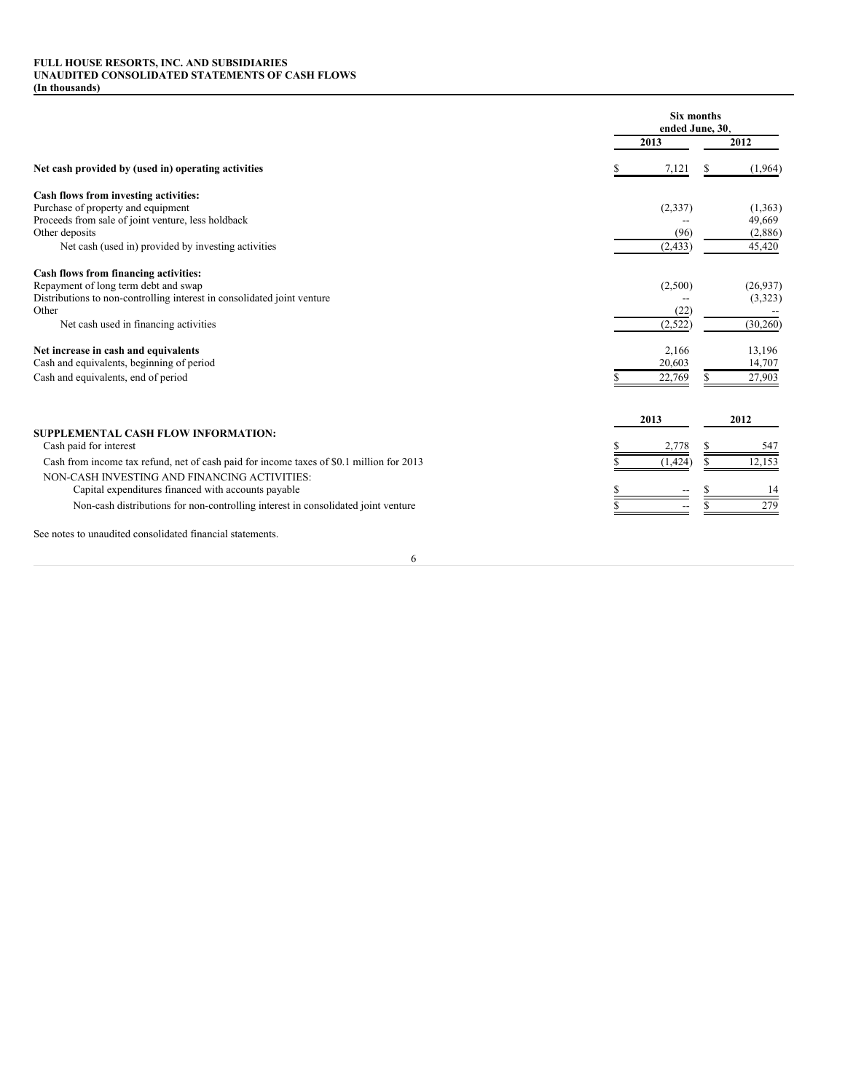#### **FULL HOUSE RESORTS, INC. AND SUBSIDIARIES UNAUDITED CONSOLIDATED STATEMENTS OF CASH FLOWS (In thousands)**

|                                                                                                                                                                                                                                                                                                                                                       | <b>Six months</b><br>ended June, 30. |                                          |
|-------------------------------------------------------------------------------------------------------------------------------------------------------------------------------------------------------------------------------------------------------------------------------------------------------------------------------------------------------|--------------------------------------|------------------------------------------|
|                                                                                                                                                                                                                                                                                                                                                       | 2013                                 | 2012                                     |
| Net cash provided by (used in) operating activities                                                                                                                                                                                                                                                                                                   | 7,121                                | (1, 964)                                 |
| Cash flows from investing activities:<br>Purchase of property and equipment<br>Proceeds from sale of joint venture, less holdback<br>Other deposits<br>Net cash (used in) provided by investing activities                                                                                                                                            | (2,337)<br>(96)<br>(2, 433)          | (1,363)<br>49,669<br>(2,886)<br>45,420   |
| Cash flows from financing activities:<br>Repayment of long term debt and swap<br>Distributions to non-controlling interest in consolidated joint venture<br>Other<br>Net cash used in financing activities                                                                                                                                            | (2,500)<br>(22)<br>(2, 522)          | (26,937)<br>(3,323)<br>(30, 260)         |
| Net increase in cash and equivalents<br>Cash and equivalents, beginning of period<br>Cash and equivalents, end of period                                                                                                                                                                                                                              | 2,166<br>20,603<br>22,769            | 13,196<br>14,707<br>27,903               |
| SUPPLEMENTAL CASH FLOW INFORMATION:<br>Cash paid for interest<br>Cash from income tax refund, net of cash paid for income taxes of \$0.1 million for 2013<br>NON-CASH INVESTING AND FINANCING ACTIVITIES:<br>Capital expenditures financed with accounts payable<br>Non-cash distributions for non-controlling interest in consolidated joint venture | 2013<br>2,778<br>(1, 424)            | 2012<br>547<br>12,153<br>\$<br>14<br>279 |

See notes to unaudited consolidated financial statements.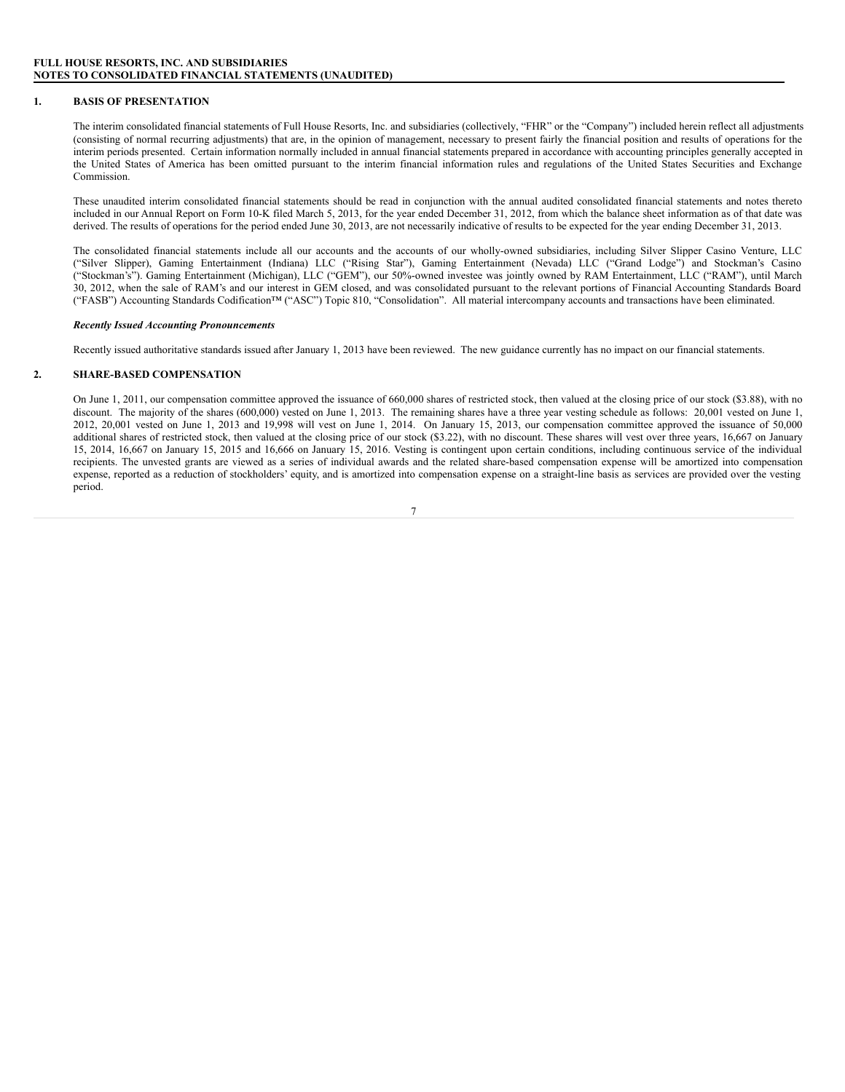#### **1. BASIS OF PRESENTATION**

The interim consolidated financial statements of Full House Resorts, Inc. and subsidiaries (collectively, "FHR" or the "Company") included herein reflect all adjustments (consisting of normal recurring adjustments) that are, in the opinion of management, necessary to present fairly the financial position and results of operations for the interim periods presented. Certain information normally included in annual financial statements prepared in accordance with accounting principles generally accepted in the United States of America has been omitted pursuant to the interim financial information rules and regulations of the United States Securities and Exchange Commission.

These unaudited interim consolidated financial statements should be read in conjunction with the annual audited consolidated financial statements and notes thereto included in our Annual Report on Form 10-K filed March 5, 2013, for the year ended December 31, 2012, from which the balance sheet information as of that date was derived. The results of operations for the period ended June 30, 2013, are not necessarily indicative of results to be expected for the year ending December 31, 2013.

The consolidated financial statements include all our accounts and the accounts of our wholly-owned subsidiaries, including Silver Slipper Casino Venture, LLC ("Silver Slipper), Gaming Entertainment (Indiana) LLC ("Rising Star"), Gaming Entertainment (Nevada) LLC ("Grand Lodge") and Stockman's Casino ("Stockman's"). Gaming Entertainment (Michigan), LLC ("GEM"), our 50%-owned investee was jointly owned by RAM Entertainment, LLC ("RAM"), until March 30, 2012, when the sale of RAM's and our interest in GEM closed, and was consolidated pursuant to the relevant portions of Financial Accounting Standards Board ("FASB") Accounting Standards Codification™ ("ASC") Topic 810, "Consolidation". All material intercompany accounts and transactions have been eliminated.

#### *Recently Issued Accounting Pronouncements*

Recently issued authoritative standards issued after January 1, 2013 have been reviewed. The new guidance currently has no impact on our financial statements.

#### **2. SHARE-BASED COMPENSATION**

On June 1, 2011, our compensation committee approved the issuance of 660,000 shares of restricted stock, then valued at the closing price of our stock (\$3.88), with no discount. The majority of the shares (600,000) vested on June 1, 2013. The remaining shares have a three year vesting schedule as follows: 20,001 vested on June 1, 2012, 20,001 vested on June 1, 2013 and 19,998 will vest on June 1, 2014. On January 15, 2013, our compensation committee approved the issuance of 50,000 additional shares of restricted stock, then valued at the closing price of our stock (\$3.22), with no discount. These shares will vest over three years, 16,667 on January 15, 2014, 16,667 on January 15, 2015 and 16,666 on January 15, 2016. Vesting is contingent upon certain conditions, including continuous service of the individual recipients. The unvested grants are viewed as a series of individual awards and the related share-based compensation expense will be amortized into compensation expense, reported as a reduction of stockholders' equity, and is amortized into compensation expense on a straight-line basis as services are provided over the vesting period.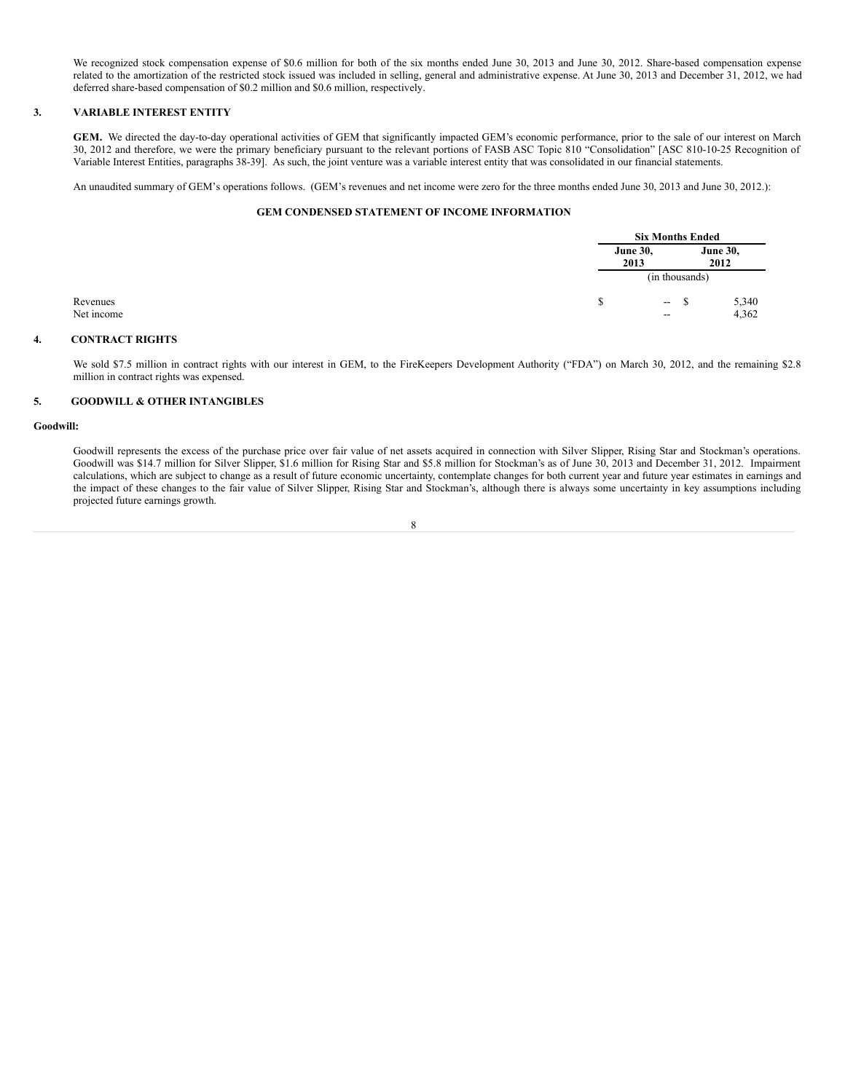We recognized stock compensation expense of \$0.6 million for both of the six months ended June 30, 2013 and June 30, 2012. Share-based compensation expense related to the amortization of the restricted stock issued was included in selling, general and administrative expense. At June 30, 2013 and December 31, 2012, we had deferred share-based compensation of \$0.2 million and \$0.6 million, respectively.

## **3. VARIABLE INTEREST ENTITY**

GEM. We directed the day-to-day operational activities of GEM that significantly impacted GEM's economic performance, prior to the sale of our interest on March 30, 2012 and therefore, we were the primary beneficiary pursuant to the relevant portions of FASB ASC Topic 810 "Consolidation" [ASC 810-10-25 Recognition of Variable Interest Entities, paragraphs 38-39]. As such, the joint venture was a variable interest entity that was consolidated in our financial statements.

An unaudited summary of GEM's operations follows. (GEM's revenues and net income were zero for the three months ended June 30, 2013 and June 30, 2012.):

### **GEM CONDENSED STATEMENT OF INCOME INFORMATION**

| <b>June 30,</b><br>2012 |
|-------------------------|
| (in thousands)          |
| 5,340<br>- 30<br>4,362  |

## **4. CONTRACT RIGHTS**

We sold \$7.5 million in contract rights with our interest in GEM, to the FireKeepers Development Authority ("FDA") on March 30, 2012, and the remaining \$2.8 million in contract rights was expensed.

# **5. GOODWILL & OTHER INTANGIBLES**

#### **Goodwill:**

Goodwill represents the excess of the purchase price over fair value of net assets acquired in connection with Silver Slipper, Rising Star and Stockman's operations. Goodwill was \$14.7 million for Silver Slipper, \$1.6 million for Rising Star and \$5.8 million for Stockman's as of June 30, 2013 and December 31, 2012. Impairment calculations, which are subject to change as a result of future economic uncertainty, contemplate changes for both current year and future year estimates in earnings and the impact of these changes to the fair value of Silver Slipper, Rising Star and Stockman's, although there is always some uncertainty in key assumptions including projected future earnings growth.

$$
8 \\
$$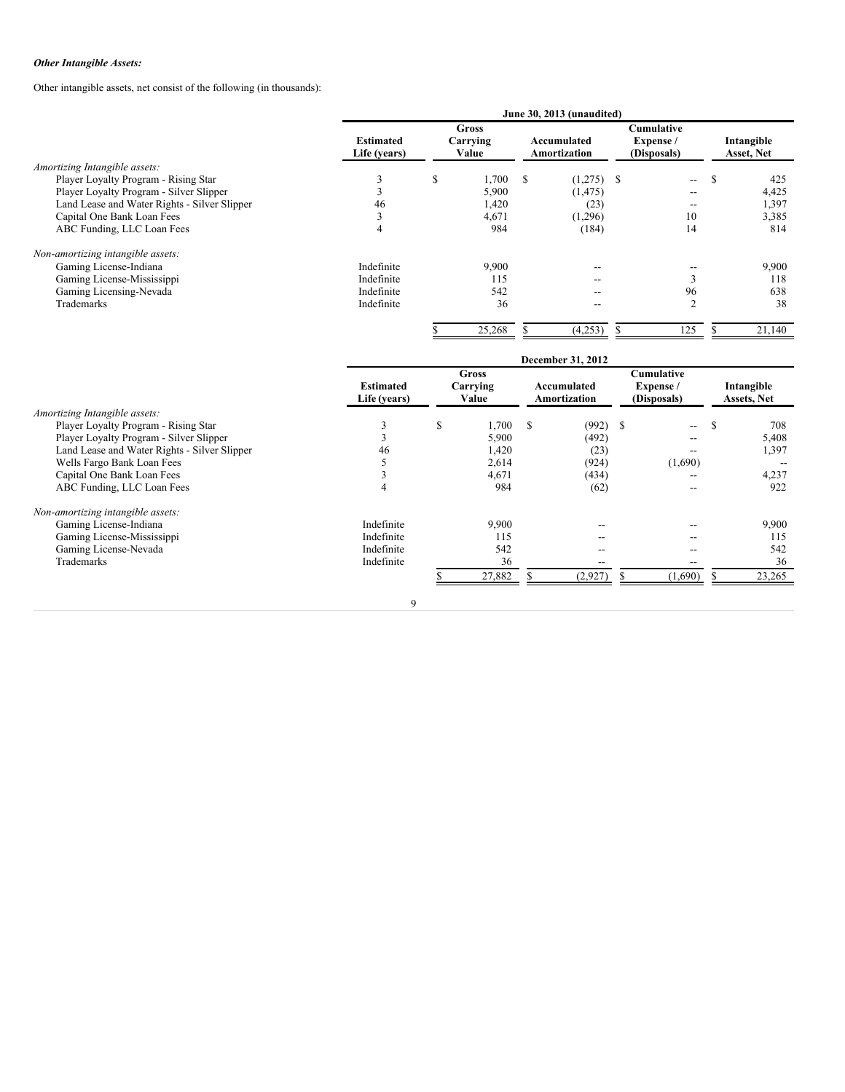# *Other Intangible Assets:*

Other intangible assets, net consist of the following (in thousands):

| <b>Estimated</b><br>Life (years) |   |        | Accumulated<br>Amortization       |          |  |                                           |                                               | Intangible<br>Asset, Net |
|----------------------------------|---|--------|-----------------------------------|----------|--|-------------------------------------------|-----------------------------------------------|--------------------------|
|                                  |   |        |                                   |          |  |                                           |                                               |                          |
|                                  | S | 1,700  | <sup>\$</sup>                     |          |  | $--$                                      |                                               | 425                      |
|                                  |   | 5,900  |                                   | (1, 475) |  | $\overline{\phantom{m}}$                  |                                               | 4,425                    |
| 46                               |   | 1,420  |                                   | (23)     |  | $\overline{\phantom{m}}$                  |                                               | 1,397                    |
|                                  |   | 4,671  |                                   | (1,296)  |  | 10                                        |                                               | 3,385                    |
| 4                                |   | 984    |                                   | (184)    |  | 14                                        |                                               | 814                      |
|                                  |   |        |                                   |          |  |                                           |                                               |                          |
| Indefinite                       |   | 9,900  |                                   | --       |  |                                           |                                               | 9,900                    |
| Indefinite                       |   | 115    |                                   | --       |  |                                           |                                               | 118                      |
| Indefinite                       |   | 542    |                                   |          |  | 96                                        |                                               | 638                      |
| Indefinite                       |   | 36     |                                   | --       |  | $\overline{2}$                            |                                               | 38                       |
|                                  |   | 25,268 |                                   | (4,253)  |  | 125                                       |                                               | 21,140                   |
|                                  |   |        | <b>Gross</b><br>Carrying<br>Value |          |  | June 30, 2013 (unaudited)<br>$(1,275)$ \$ | <b>Cumulative</b><br>Expense /<br>(Disposals) |                          |

|                                              |                                  |                            |      | December 31, 2012           |                                        |                           |
|----------------------------------------------|----------------------------------|----------------------------|------|-----------------------------|----------------------------------------|---------------------------|
|                                              | <b>Estimated</b><br>Life (years) | Gross<br>Carrying<br>Value |      | Accumulated<br>Amortization | Cumulative<br>Expense /<br>(Disposals) | Intangible<br>Assets, Net |
| Amortizing Intangible assets:                |                                  |                            |      |                             |                                        |                           |
| Player Loyalty Program - Rising Star         | 3                                | \$<br>1,700                | - \$ | $(992)$ \$                  | $- -$                                  | 708                       |
| Player Loyalty Program - Silver Slipper      |                                  | 5,900                      |      | (492)                       |                                        | 5,408                     |
| Land Lease and Water Rights - Silver Slipper | 46                               | 1,420                      |      | (23)                        |                                        | 1,397                     |
| Wells Fargo Bank Loan Fees                   |                                  | 2,614                      |      | (924)                       | (1,690)                                |                           |
| Capital One Bank Loan Fees                   |                                  | 4,671                      |      | (434)                       | $- -$                                  | 4,237                     |
| ABC Funding, LLC Loan Fees                   | 4                                | 984                        |      | (62)                        | $- -$                                  | 922                       |
| Non-amortizing intangible assets:            |                                  |                            |      |                             |                                        |                           |
| Gaming License-Indiana                       | Indefinite                       | 9,900                      |      |                             |                                        | 9,900                     |
| Gaming License-Mississippi                   | Indefinite                       | 115                        |      |                             |                                        | 115                       |
| Gaming License-Nevada                        | Indefinite                       | 542                        |      |                             |                                        | 542                       |
| Trademarks                                   | Indefinite                       | 36                         |      |                             |                                        | 36                        |
|                                              |                                  | 27,882                     |      | (2,927)                     | (1,690)                                | 23,265                    |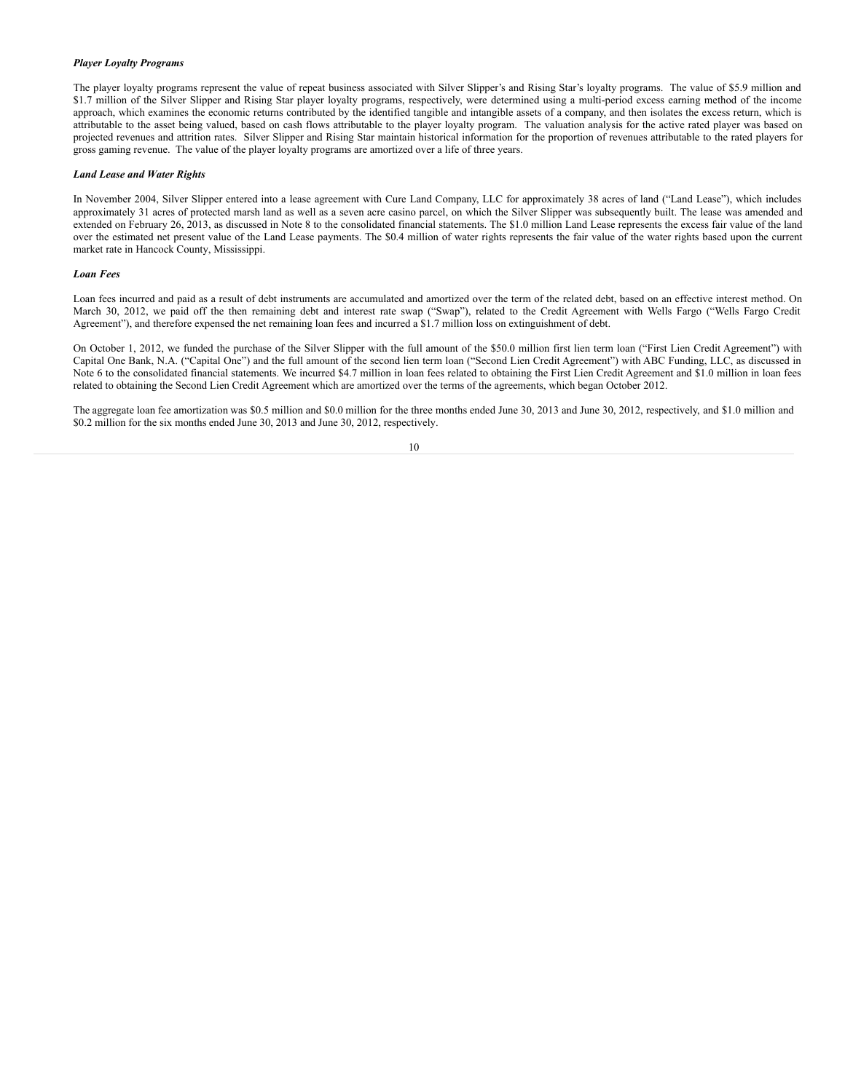#### *Player Loyalty Programs*

The player loyalty programs represent the value of repeat business associated with Silver Slipper's and Rising Star's loyalty programs. The value of \$5.9 million and \$1.7 million of the Silver Slipper and Rising Star player loyalty programs, respectively, were determined using a multi-period excess earning method of the income approach, which examines the economic returns contributed by the identified tangible and intangible assets of a company, and then isolates the excess return, which is attributable to the asset being valued, based on cash flows attributable to the player loyalty program. The valuation analysis for the active rated player was based on projected revenues and attrition rates. Silver Slipper and Rising Star maintain historical information for the proportion of revenues attributable to the rated players for gross gaming revenue. The value of the player loyalty programs are amortized over a life of three years.

#### *Land Lease and Water Rights*

In November 2004, Silver Slipper entered into a lease agreement with Cure Land Company, LLC for approximately 38 acres of land ("Land Lease"), which includes approximately 31 acres of protected marsh land as well as a seven acre casino parcel, on which the Silver Slipper was subsequently built. The lease was amended and extended on February 26, 2013, as discussed in Note 8 to the consolidated financial statements. The \$1.0 million Land Lease represents the excess fair value of the land over the estimated net present value of the Land Lease payments. The \$0.4 million of water rights represents the fair value of the water rights based upon the current market rate in Hancock County, Mississippi.

### *Loan Fees*

Loan fees incurred and paid as a result of debt instruments are accumulated and amortized over the term of the related debt, based on an effective interest method. On March 30, 2012, we paid off the then remaining debt and interest rate swap ("Swap"), related to the Credit Agreement with Wells Fargo ("Wells Fargo Credit Agreement"), and therefore expensed the net remaining loan fees and incurred a \$1.7 million loss on extinguishment of debt.

On October 1, 2012, we funded the purchase of the Silver Slipper with the full amount of the \$50.0 million first lien term loan ("First Lien Credit Agreement") with Capital One Bank, N.A. ("Capital One") and the full amount of the second lien term loan ("Second Lien Credit Agreement") with ABC Funding, LLC, as discussed in Note 6 to the consolidated financial statements. We incurred \$4.7 million in loan fees related to obtaining the First Lien Credit Agreement and \$1.0 million in loan fees related to obtaining the Second Lien Credit Agreement which are amortized over the terms of the agreements, which began October 2012.

The aggregate loan fee amortization was \$0.5 million and \$0.0 million for the three months ended June 30, 2013 and June 30, 2012, respectively, and \$1.0 million and \$0.2 million for the six months ended June 30, 2013 and June 30, 2012, respectively.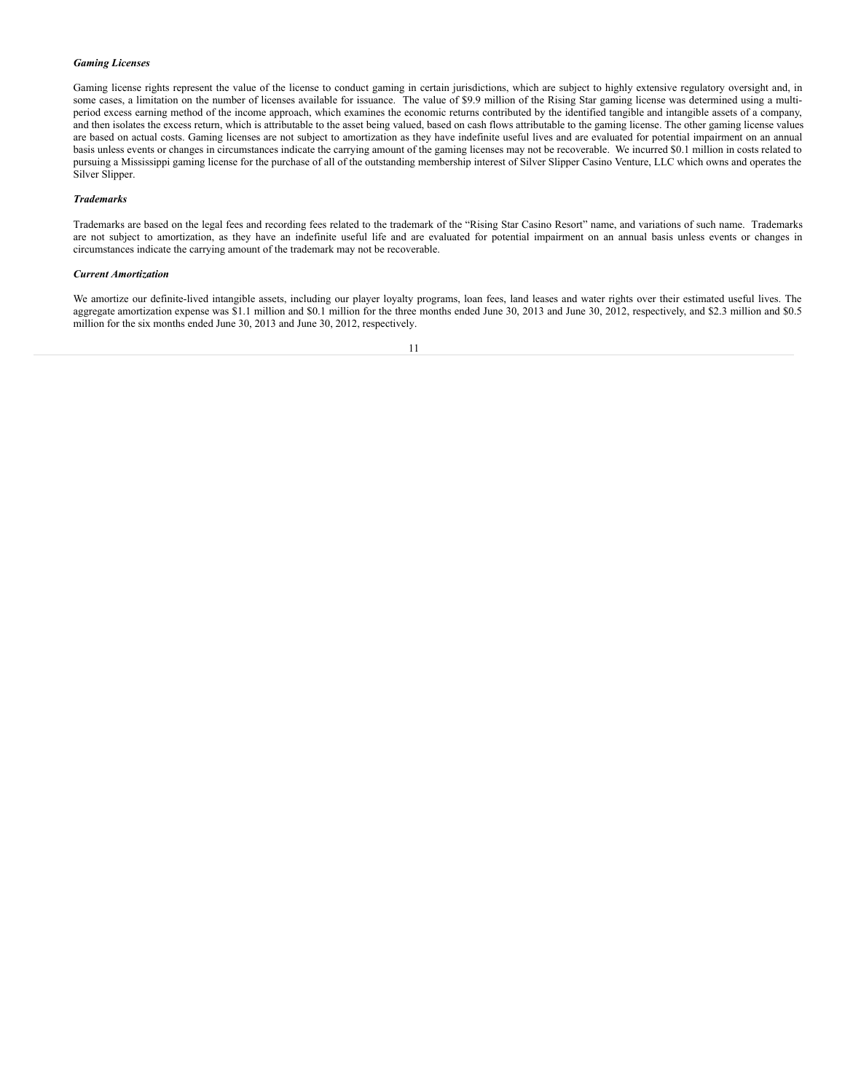### *Gaming Licenses*

Gaming license rights represent the value of the license to conduct gaming in certain jurisdictions, which are subject to highly extensive regulatory oversight and, in some cases, a limitation on the number of licenses available for issuance. The value of \$9.9 million of the Rising Star gaming license was determined using a multiperiod excess earning method of the income approach, which examines the economic returns contributed by the identified tangible and intangible assets of a company, and then isolates the excess return, which is attributable to the asset being valued, based on cash flows attributable to the gaming license. The other gaming license values are based on actual costs. Gaming licenses are not subject to amortization as they have indefinite useful lives and are evaluated for potential impairment on an annual basis unless events or changes in circumstances indicate the carrying amount of the gaming licenses may not be recoverable. We incurred \$0.1 million in costs related to pursuing a Mississippi gaming license for the purchase of all of the outstanding membership interest of Silver Slipper Casino Venture, LLC which owns and operates the Silver Slipper.

## *Trademarks*

Trademarks are based on the legal fees and recording fees related to the trademark of the "Rising Star Casino Resort" name, and variations of such name. Trademarks are not subject to amortization, as they have an indefinite useful life and are evaluated for potential impairment on an annual basis unless events or changes in circumstances indicate the carrying amount of the trademark may not be recoverable.

### *Current Amortization*

We amortize our definite-lived intangible assets, including our player loyalty programs, loan fees, land leases and water rights over their estimated useful lives. The aggregate amortization expense was \$1.1 million and \$0.1 million for the three months ended June 30, 2013 and June 30, 2012, respectively, and \$2.3 million and \$0.5 million for the six months ended June 30, 2013 and June 30, 2012, respectively.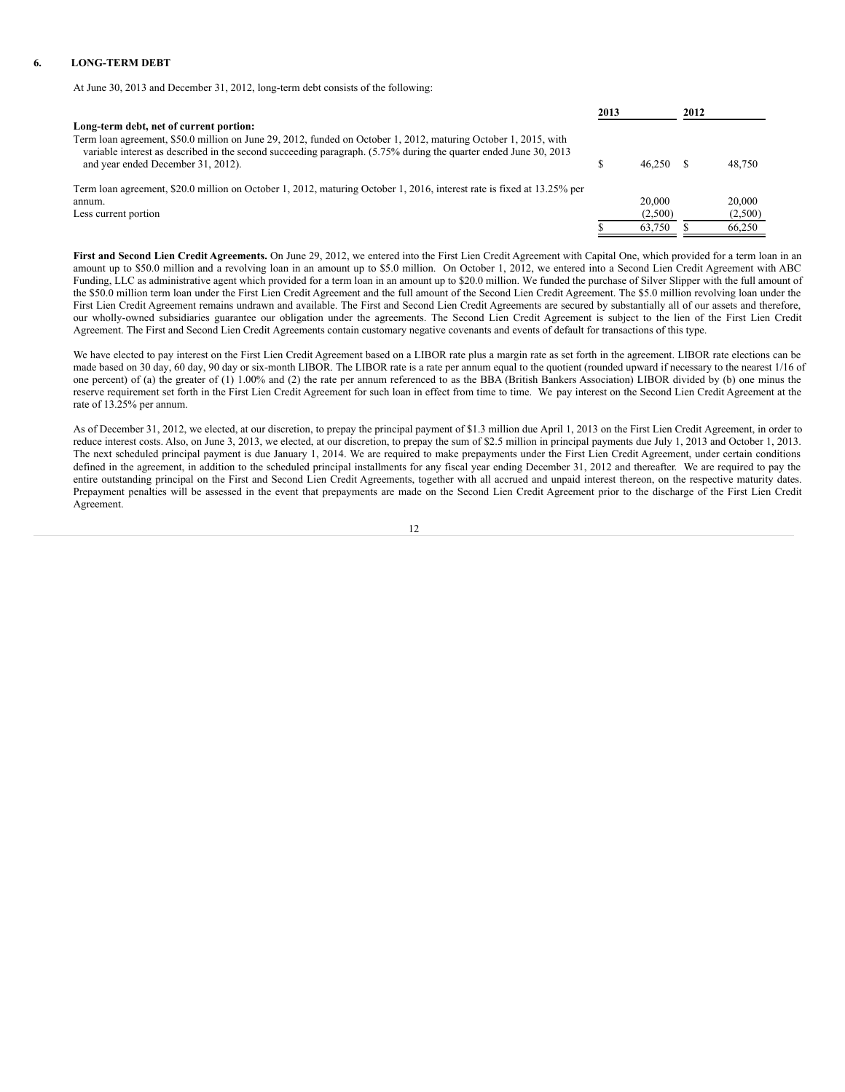## **6. LONG-TERM DEBT**

At June 30, 2013 and December 31, 2012, long-term debt consists of the following:

|                                                                                                                                                            | 2013 |         | 2012 |         |
|------------------------------------------------------------------------------------------------------------------------------------------------------------|------|---------|------|---------|
| Long-term debt, net of current portion:<br>Term loan agreement, \$50.0 million on June 29, 2012, funded on October 1, 2012, maturing October 1, 2015, with |      |         |      |         |
| variable interest as described in the second succeeding paragraph. $(5.75\%$ during the quarter ended June 30, 2013<br>and year ended December 31, 2012).  |      | 46.250  |      | 48,750  |
| Term loan agreement, \$20.0 million on October 1, 2012, maturing October 1, 2016, interest rate is fixed at 13.25% per                                     |      |         |      |         |
| annum.                                                                                                                                                     |      | 20,000  |      | 20,000  |
| Less current portion                                                                                                                                       |      | (2,500) |      | (2,500) |
|                                                                                                                                                            |      | 63.750  |      | 66,250  |

**First and Second Lien Credit Agreements.** On June 29, 2012, we entered into the First Lien Credit Agreement with Capital One, which provided for a term loan in an amount up to \$50.0 million and a revolving loan in an amount up to \$5.0 million. On October 1, 2012, we entered into a Second Lien Credit Agreement with ABC Funding, LLC as administrative agent which provided for a term loan in an amount up to \$20.0 million. We funded the purchase of Silver Slipper with the full amount of the \$50.0 million term loan under the First Lien Credit Agreement and the full amount of the Second Lien Credit Agreement. The \$5.0 million revolving loan under the First Lien Credit Agreement remains undrawn and available. The First and Second Lien Credit Agreements are secured by substantially all of our assets and therefore, our wholly-owned subsidiaries guarantee our obligation under the agreements. The Second Lien Credit Agreement is subject to the lien of the First Lien Credit Agreement. The First and Second Lien Credit Agreements contain customary negative covenants and events of default for transactions of this type.

We have elected to pay interest on the First Lien Credit Agreement based on a LIBOR rate plus a margin rate as set forth in the agreement. LIBOR rate elections can be made based on 30 day, 60 day, 90 day or six-month LIBOR. The LIBOR rate is a rate per annum equal to the quotient (rounded upward if necessary to the nearest 1/16 of one percent) of (a) the greater of (1) 1.00% and (2) the rate per annum referenced to as the BBA (British Bankers Association) LIBOR divided by (b) one minus the reserve requirement set forth in the First Lien Credit Agreement for such loan in effect from time to time. We pay interest on the Second Lien Credit Agreement at the rate of 13.25% per annum.

As of December 31, 2012, we elected, at our discretion, to prepay the principal payment of \$1.3 million due April 1, 2013 on the First Lien Credit Agreement, in order to reduce interest costs. Also, on June 3, 2013, we elected, at our discretion, to prepay the sum of \$2.5 million in principal payments due July 1, 2013 and October 1, 2013. The next scheduled principal payment is due January 1, 2014. We are required to make prepayments under the First Lien Credit Agreement, under certain conditions defined in the agreement, in addition to the scheduled principal installments for any fiscal year ending December 31, 2012 and thereafter. We are required to pay the entire outstanding principal on the First and Second Lien Credit Agreements, together with all accrued and unpaid interest thereon, on the respective maturity dates. Prepayment penalties will be assessed in the event that prepayments are made on the Second Lien Credit Agreement prior to the discharge of the First Lien Credit Agreement.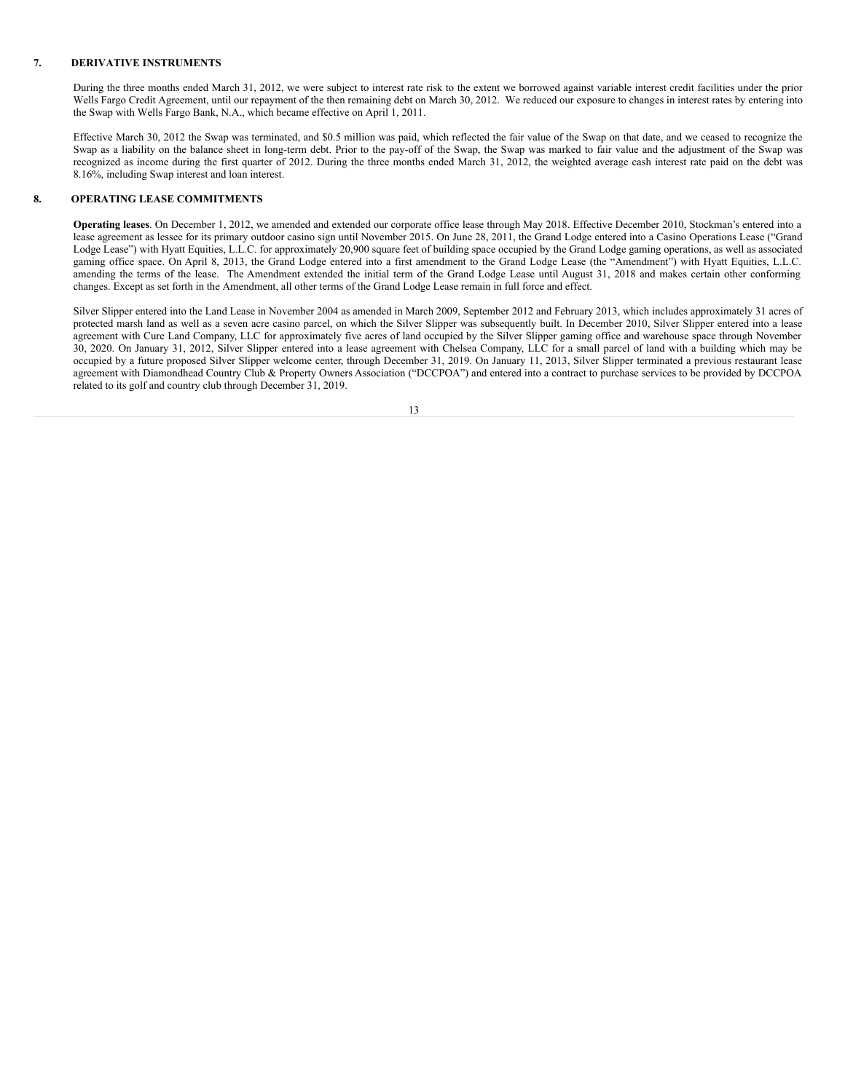## **7. DERIVATIVE INSTRUMENTS**

During the three months ended March 31, 2012, we were subject to interest rate risk to the extent we borrowed against variable interest credit facilities under the prior Wells Fargo Credit Agreement, until our repayment of the then remaining debt on March 30, 2012. We reduced our exposure to changes in interest rates by entering into the Swap with Wells Fargo Bank, N.A., which became effective on April 1, 2011.

Effective March 30, 2012 the Swap was terminated, and \$0.5 million was paid, which reflected the fair value of the Swap on that date, and we ceased to recognize the Swap as a liability on the balance sheet in long-term debt. Prior to the pay-off of the Swap, the Swap was marked to fair value and the adjustment of the Swap was recognized as income during the first quarter of 2012. During the three months ended March 31, 2012, the weighted average cash interest rate paid on the debt was 8.16%, including Swap interest and loan interest.

### **8. OPERATING LEASE COMMITMENTS**

**Operating leases**. On December 1, 2012, we amended and extended our corporate office lease through May 2018. Effective December 2010, Stockman's entered into a lease agreement as lessee for its primary outdoor casino sign until November 2015. On June 28, 2011, the Grand Lodge entered into a Casino Operations Lease ("Grand Lodge Lease") with Hyatt Equities, L.L.C. for approximately 20,900 square feet of building space occupied by the Grand Lodge gaming operations, as well as associated gaming office space. On April 8, 2013, the Grand Lodge entered into a first amendment to the Grand Lodge Lease (the "Amendment") with Hyatt Equities, L.L.C. amending the terms of the lease. The Amendment extended the initial term of the Grand Lodge Lease until August 31, 2018 and makes certain other conforming changes. Except as set forth in the Amendment, all other terms of the Grand Lodge Lease remain in full force and effect.

Silver Slipper entered into the Land Lease in November 2004 as amended in March 2009, September 2012 and February 2013, which includes approximately 31 acres of protected marsh land as well as a seven acre casino parcel, on which the Silver Slipper was subsequently built. In December 2010, Silver Slipper entered into a lease agreement with Cure Land Company, LLC for approximately five acres of land occupied by the Silver Slipper gaming office and warehouse space through November 30, 2020. On January 31, 2012, Silver Slipper entered into a lease agreement with Chelsea Company, LLC for a small parcel of land with a building which may be occupied by a future proposed Silver Slipper welcome center, through December 31, 2019. On January 11, 2013, Silver Slipper terminated a previous restaurant lease agreement with Diamondhead Country Club & Property Owners Association ("DCCPOA") and entered into a contract to purchase services to be provided by DCCPOA related to its golf and country club through December 31, 2019.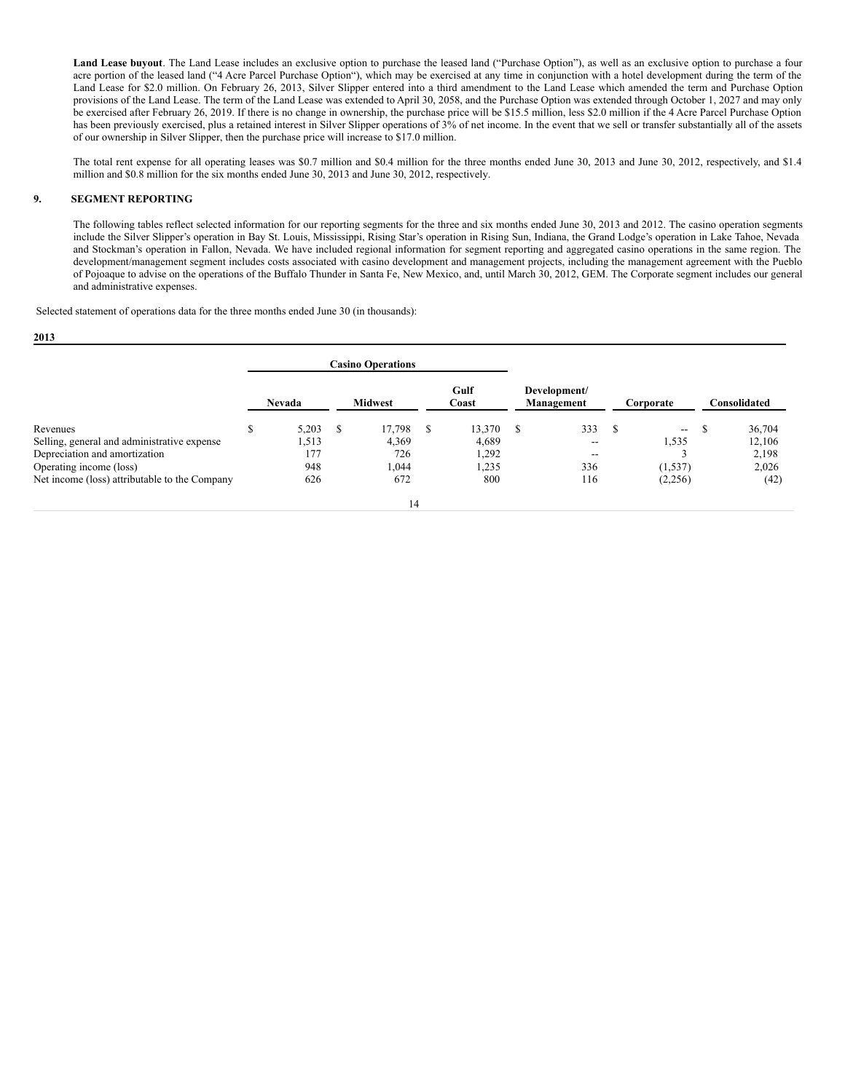**Land Lease buyout**. The Land Lease includes an exclusive option to purchase the leased land ("Purchase Option"), as well as an exclusive option to purchase a four acre portion of the leased land ("4 Acre Parcel Purchase Option"), which may be exercised at any time in conjunction with a hotel development during the term of the Land Lease for \$2.0 million. On February 26, 2013, Silver Slipper entered into a third amendment to the Land Lease which amended the term and Purchase Option provisions of the Land Lease. The term of the Land Lease was extended to April 30, 2058, and the Purchase Option was extended through October 1, 2027 and may only be exercised after February 26, 2019. If there is no change in ownership, the purchase price will be \$15.5 million, less \$2.0 million if the 4 Acre Parcel Purchase Option has been previously exercised, plus a retained interest in Silver Slipper operations of 3% of net income. In the event that we sell or transfer substantially all of the assets of our ownership in Silver Slipper, then the purchase price will increase to \$17.0 million.

The total rent expense for all operating leases was \$0.7 million and \$0.4 million for the three months ended June 30, 2013 and June 30, 2012, respectively, and \$1.4 million and \$0.8 million for the six months ended June 30, 2013 and June 30, 2012, respectively.

### **9. SEGMENT REPORTING**

The following tables reflect selected information for our reporting segments for the three and six months ended June 30, 2013 and 2012. The casino operation segments include the Silver Slipper's operation in Bay St. Louis, Mississippi, Rising Star's operation in Rising Sun, Indiana, the Grand Lodge's operation in Lake Tahoe, Nevada and Stockman's operation in Fallon, Nevada. We have included regional information for segment reporting and aggregated casino operations in the same region. The development/management segment includes costs associated with casino development and management projects, including the management agreement with the Pueblo of Pojoaque to advise on the operations of the Buffalo Thunder in Santa Fe, New Mexico, and, until March 30, 2012, GEM. The Corporate segment includes our general and administrative expenses.

Selected statement of operations data for the three months ended June 30 (in thousands):

|                                               |   |               | <b>Casino Operations</b> |        |               |        |                            |                          |           |                          |              |        |
|-----------------------------------------------|---|---------------|--------------------------|--------|---------------|--------|----------------------------|--------------------------|-----------|--------------------------|--------------|--------|
|                                               |   | <b>Nevada</b> | <b>Midwest</b>           |        | Gulf<br>Coast |        | Development/<br>Management |                          | Corporate |                          | Consolidated |        |
| Revenues                                      | Ф | 5.203         | S                        | 17.798 | S             | 13,370 | S                          | 333                      | - \$      | $\overline{\phantom{a}}$ |              | 36,704 |
| Selling, general and administrative expense   |   | 1,513         |                          | 4,369  |               | 4,689  |                            | $\overline{\phantom{m}}$ |           | 1,535                    |              | 12,106 |
| Depreciation and amortization                 |   | 177           |                          | 726    |               | 1,292  |                            | $\overline{\phantom{m}}$ |           |                          |              | 2,198  |
| Operating income (loss)                       |   | 948           |                          | 1.044  |               | 1,235  |                            | 336                      |           | (1, 537)                 |              | 2,026  |
| Net income (loss) attributable to the Company |   | 626           |                          | 672    |               | 800    |                            | 116                      |           | (2,256)                  |              | (42)   |
|                                               |   |               |                          | 14     |               |        |                            |                          |           |                          |              |        |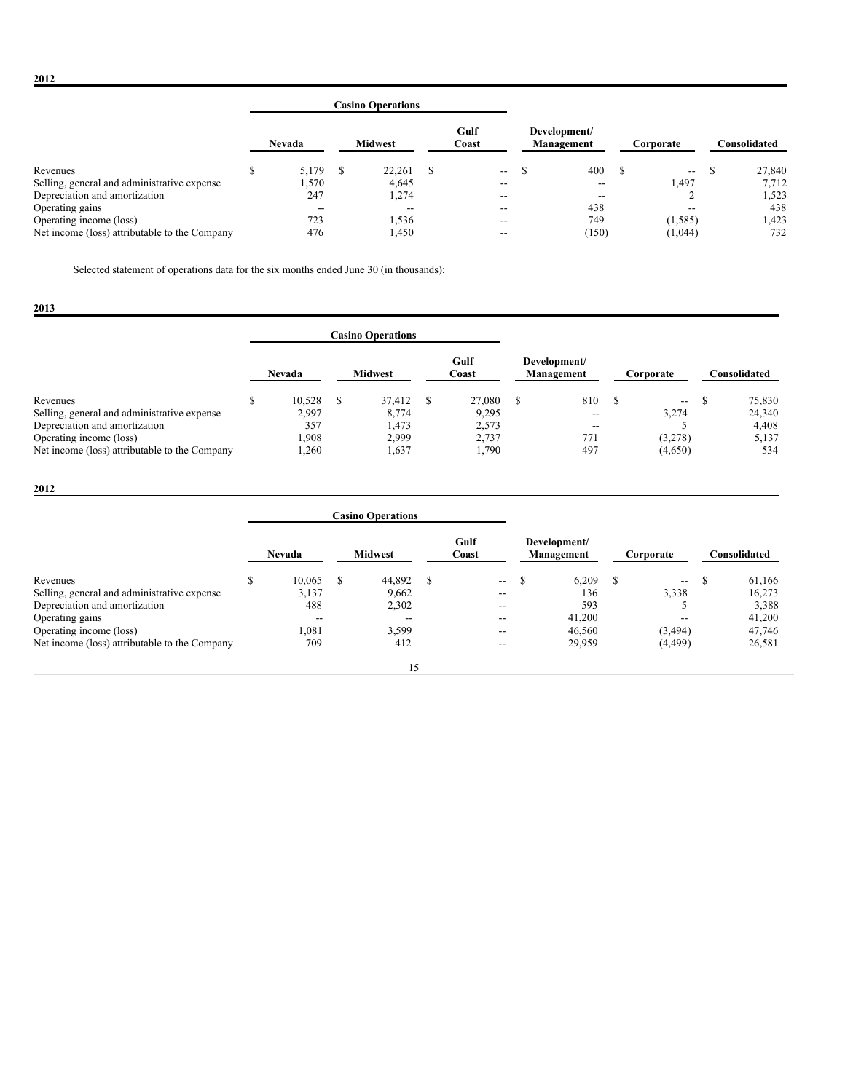# **Casino Operations**

|                                               | Nevada                   | <b>Midwest</b> | Gulf<br>Coast | Development/<br>Management | Corporate | <b>Consolidated</b> |
|-----------------------------------------------|--------------------------|----------------|---------------|----------------------------|-----------|---------------------|
| Revenues                                      | 5.179                    | 22.261         | $- -$         | 400                        | --        | 27,840              |
| Selling, general and administrative expense   | 1,570                    | 4.645          | $- -$         | $- -$                      | 1,497     | 7,712               |
| Depreciation and amortization                 | 247                      | 1,274          | $- -$         |                            |           | 1,523               |
| Operating gains                               | $\overline{\phantom{m}}$ | $- -$          | $- -$         | 438                        | --        | 438                 |
| Operating income (loss)                       | 723                      | .536           | $- -$         | 749                        | (1,585)   | 1,423               |
| Net income (loss) attributable to the Company | 476                      | .450           | $-$           | (150)                      | (1,044)   | 732                 |

Selected statement of operations data for the six months ended June 30 (in thousands):

# **2013**

|                                               | <b>Casino Operations</b> |        |                |        |               |        |                            |                          |           |         |              |        |
|-----------------------------------------------|--------------------------|--------|----------------|--------|---------------|--------|----------------------------|--------------------------|-----------|---------|--------------|--------|
|                                               | <b>Nevada</b>            |        | <b>Midwest</b> |        | Gulf<br>Coast |        | Development/<br>Management |                          | Corporate |         | Consolidated |        |
| Revenues                                      |                          | 10.528 |                | 37.412 |               | 27,080 |                            | 810                      |           | $--$    |              | 75,830 |
| Selling, general and administrative expense   |                          | 2.997  |                | 8.774  |               | 9,295  |                            | $\overline{\phantom{m}}$ |           | 3,274   |              | 24,340 |
| Depreciation and amortization                 |                          | 357    |                | 1.473  |               | 2,573  |                            | $- -$                    |           |         |              | 4,408  |
| Operating income (loss)                       |                          | 1.908  |                | 2,999  |               | 2,737  |                            | 771                      |           | (3,278) |              | 5,137  |
| Net income (loss) attributable to the Company |                          | 1,260  |                | 1,637  |               | 1,790  |                            | 497                      |           | (4,650) |              | 534    |

|                                               | <b>Casino Operations</b> |                                       |   |                |    |                   |   |                            |    |                          |    |              |  |
|-----------------------------------------------|--------------------------|---------------------------------------|---|----------------|----|-------------------|---|----------------------------|----|--------------------------|----|--------------|--|
|                                               |                          | Nevada                                |   | <b>Midwest</b> |    | Gulf<br>Coast     |   | Development/<br>Management |    | Corporate                |    | Consolidated |  |
| Revenues                                      | J.                       | 10.065                                | S | 44,892         | £. | $\hspace{0.05cm}$ | Э | 6,209                      | -S | $\overline{\phantom{a}}$ | J. | 61,166       |  |
| Selling, general and administrative expense   |                          | 3,137                                 |   | 9,662          |    | $\hspace{0.05cm}$ |   | 136                        |    | 3,338                    |    | 16,273       |  |
| Depreciation and amortization                 |                          | 488                                   |   | 2,302          |    | $\hspace{0.05cm}$ |   | 593                        |    |                          |    | 3,388        |  |
| Operating gains                               |                          | $\hspace{0.05cm}$ – $\hspace{0.05cm}$ |   | $- -$          |    | --                |   | 41,200                     |    | $\hspace{0.05cm}$        |    | 41,200       |  |
| Operating income (loss)                       |                          | 1,081                                 |   | 3,599          |    | $\hspace{0.05cm}$ |   | 46,560                     |    | (3, 494)                 |    | 47,746       |  |
| Net income (loss) attributable to the Company |                          | 709                                   |   | 412            |    | --                |   | 29,959                     |    | (4, 499)                 |    | 26,581       |  |
|                                               |                          |                                       |   | 15             |    |                   |   |                            |    |                          |    |              |  |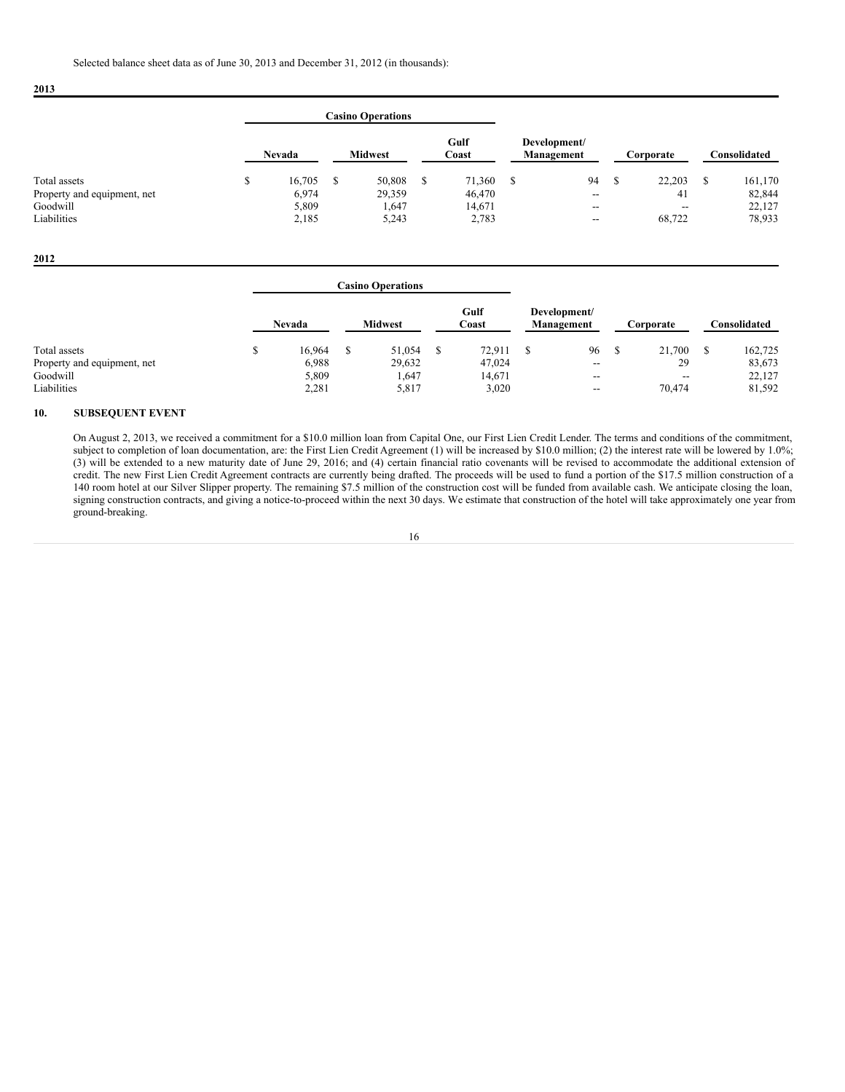**2013**

|                             |               |   | <b>Casino Operations</b> |  |               |                            |                          |               |        |              |         |
|-----------------------------|---------------|---|--------------------------|--|---------------|----------------------------|--------------------------|---------------|--------|--------------|---------|
|                             | <b>Nevada</b> |   | <b>Midwest</b>           |  | Gulf<br>Coast | Development/<br>Management |                          | Corporate     |        | Consolidated |         |
| Total assets                | 16.705        | S | 50,808                   |  | 71,360        |                            | 94                       | <sup>\$</sup> | 22,203 |              | 161,170 |
| Property and equipment, net | 6,974         |   | 29,359                   |  | 46,470        |                            | $- -$                    |               | 41     |              | 82,844  |
| Goodwill                    | 5,809         |   | 1,647                    |  | 14.671        |                            | $- -$                    |               | $- -$  |              | 22,127  |
| Liabilities                 | 2,185         |   | 5,243                    |  | 2,783         |                            | $\overline{\phantom{m}}$ |               | 68,722 |              | 78,933  |

#### **2012**

|                             |               |        |                | <b>Casino Operations</b> |               |        |                            |                                       |           |        |              |         |
|-----------------------------|---------------|--------|----------------|--------------------------|---------------|--------|----------------------------|---------------------------------------|-----------|--------|--------------|---------|
|                             | <b>Nevada</b> |        | <b>Midwest</b> |                          | Gulf<br>Coast |        | Development/<br>Management |                                       | Corporate |        | Consolidated |         |
| Total assets                |               | 16.964 |                | 51.054                   |               | 72.911 |                            | 96                                    |           | 21,700 |              | 162,725 |
| Property and equipment, net |               | 6,988  |                | 29,632                   |               | 47.024 |                            | $- -$                                 |           | 29     |              | 83,673  |
| Goodwill                    |               | 5,809  |                | 1,647                    |               | 14,671 |                            | $\overline{\phantom{m}}$              |           | $- -$  |              | 22,127  |
| Liabilities                 |               | 2,281  |                | 5,817                    |               | 3,020  |                            | $\hspace{0.05cm}$ – $\hspace{0.05cm}$ |           | 70.474 |              | 81,592  |

# **10. SUBSEQUENT EVENT**

On August 2, 2013, we received a commitment for a \$10.0 million loan from Capital One, our First Lien Credit Lender. The terms and conditions of the commitment, subject to completion of loan documentation, are: the First Lien Credit Agreement (1) will be increased by \$10.0 million; (2) the interest rate will be lowered by 1.0%; (3) will be extended to a new maturity date of June 29, 2016; and (4) certain financial ratio covenants will be revised to accommodate the additional extension of credit. The new First Lien Credit Agreement contracts are currently being drafted. The proceeds will be used to fund a portion of the \$17.5 million construction of a 140 room hotel at our Silver Slipper property. The remaining \$7.5 million of the construction cost will be funded from available cash. We anticipate closing the loan, signing construction contracts, and giving a notice-to-proceed within the next 30 days. We estimate that construction of the hotel will take approximately one year from ground-breaking.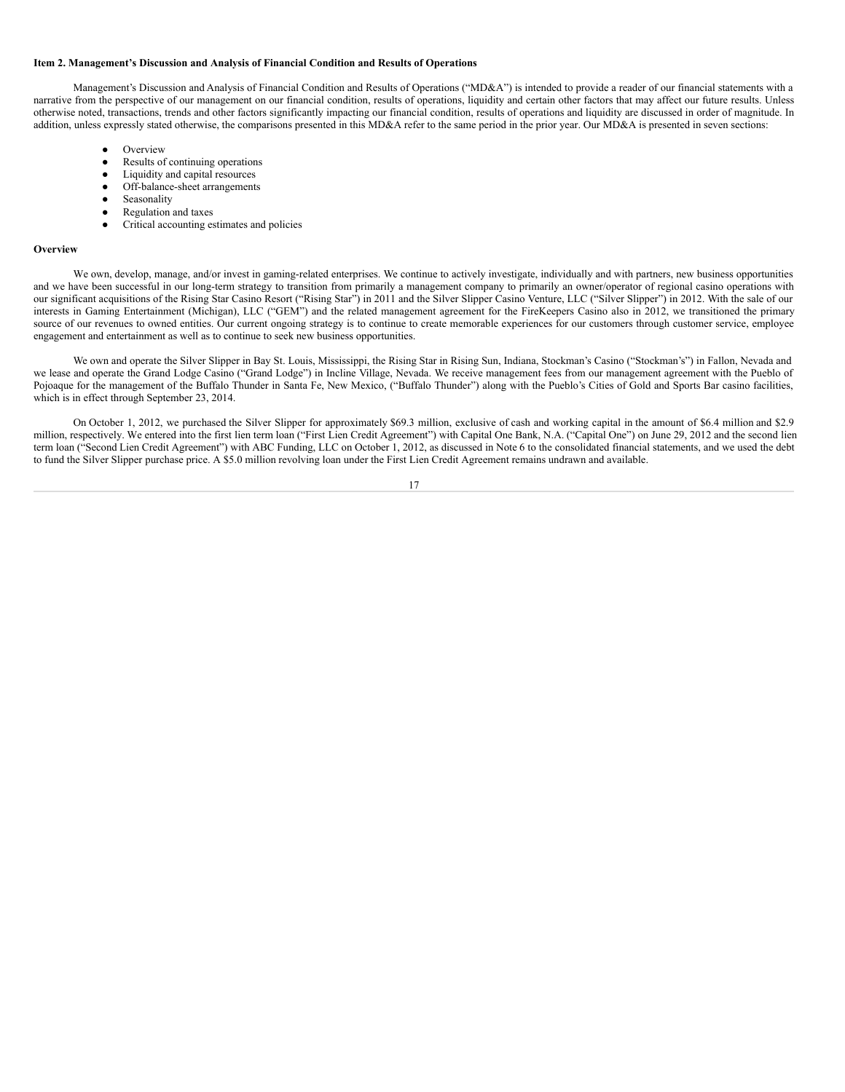#### **Item 2. Management's Discussion and Analysis of Financial Condition and Results of Operations**

Management's Discussion and Analysis of Financial Condition and Results of Operations ("MD&A") is intended to provide a reader of our financial statements with a narrative from the perspective of our management on our financial condition, results of operations, liquidity and certain other factors that may affect our future results. Unless otherwise noted, transactions, trends and other factors significantly impacting our financial condition, results of operations and liquidity are discussed in order of magnitude. In addition, unless expressly stated otherwise, the comparisons presented in this MD&A refer to the same period in the prior year. Our MD&A is presented in seven sections:

- **Overview**
- Results of continuing operations
- Liquidity and capital resources
- Off-balance-sheet arrangements
- Seasonality
- Regulation and taxes
- Critical accounting estimates and policies

#### **Overview**

We own, develop, manage, and/or invest in gaming-related enterprises. We continue to actively investigate, individually and with partners, new business opportunities and we have been successful in our long-term strategy to transition from primarily a management company to primarily an owner/operator of regional casino operations with our significant acquisitions of the Rising Star Casino Resort ("Rising Star") in 2011 and the Silver Slipper Casino Venture, LLC ("Silver Slipper") in 2012. With the sale of our interests in Gaming Entertainment (Michigan), LLC ("GEM") and the related management agreement for the FireKeepers Casino also in 2012, we transitioned the primary source of our revenues to owned entities. Our current ongoing strategy is to continue to create memorable experiences for our customers through customer service, employee engagement and entertainment as well as to continue to seek new business opportunities.

We own and operate the Silver Slipper in Bay St. Louis, Mississippi, the Rising Star in Rising Sun, Indiana, Stockman's Casino ("Stockman's") in Fallon, Nevada and we lease and operate the Grand Lodge Casino ("Grand Lodge") in Incline Village, Nevada. We receive management fees from our management agreement with the Pueblo of Pojoaque for the management of the Buffalo Thunder in Santa Fe, New Mexico, ("Buffalo Thunder") along with the Pueblo's Cities of Gold and Sports Bar casino facilities, which is in effect through September 23, 2014.

On October 1, 2012, we purchased the Silver Slipper for approximately \$69.3 million, exclusive of cash and working capital in the amount of \$6.4 million and \$2.9 million, respectively. We entered into the first lien term loan ("First Lien Credit Agreement") with Capital One Bank, N.A. ("Capital One") on June 29, 2012 and the second lien term loan ("Second Lien Credit Agreement") with ABC Funding, LLC on October 1, 2012, as discussed in Note 6 to the consolidated financial statements, and we used the debt to fund the Silver Slipper purchase price. A \$5.0 million revolving loan under the First Lien Credit Agreement remains undrawn and available.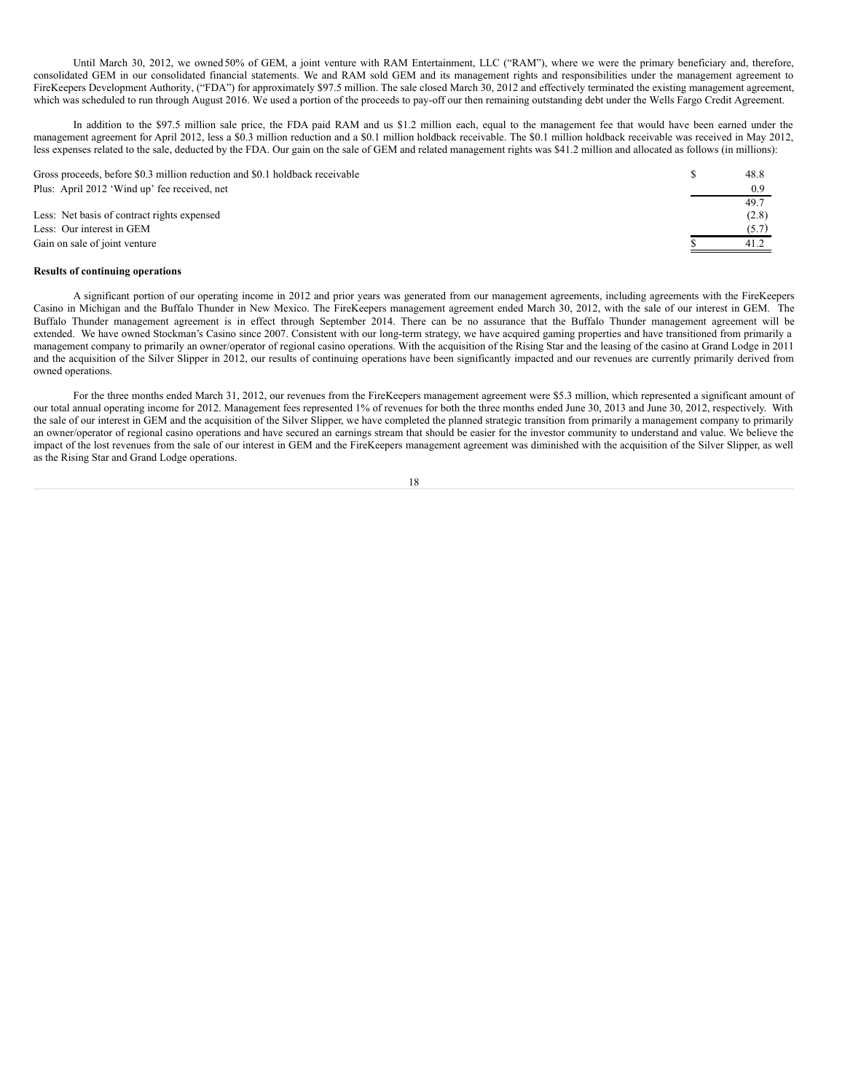Until March 30, 2012, we owned 50% of GEM, a joint venture with RAM Entertainment, LLC ("RAM"), where we were the primary beneficiary and, therefore, consolidated GEM in our consolidated financial statements. We and RAM sold GEM and its management rights and responsibilities under the management agreement to FireKeepers Development Authority, ("FDA") for approximately \$97.5 million. The sale closed March 30, 2012 and effectively terminated the existing management agreement, which was scheduled to run through August 2016. We used a portion of the proceeds to pay-off our then remaining outstanding debt under the Wells Fargo Credit Agreement.

In addition to the \$97.5 million sale price, the FDA paid RAM and us \$1.2 million each, equal to the management fee that would have been earned under the management agreement for April 2012, less a \$0.3 million reduction and a \$0.1 million holdback receivable. The \$0.1 million holdback receivable was received in May 2012, less expenses related to the sale, deducted by the FDA. Our gain on the sale of GEM and related management rights was \$41.2 million and allocated as follows (in millions):

| Gross proceeds, before \$0.3 million reduction and \$0.1 holdback receivable | 48.8  |
|------------------------------------------------------------------------------|-------|
| Plus: April 2012 'Wind up' fee received, net                                 | 0.9   |
|                                                                              | 49.7  |
| Less: Net basis of contract rights expensed                                  | (2.8) |
| Less: Our interest in GEM                                                    | (5.7) |
| Gain on sale of joint venture                                                | 41.2  |

### **Results of continuing operations**

A significant portion of our operating income in 2012 and prior years was generated from our management agreements, including agreements with the FireKeepers Casino in Michigan and the Buffalo Thunder in New Mexico. The FireKeepers management agreement ended March 30, 2012, with the sale of our interest in GEM. The Buffalo Thunder management agreement is in effect through September 2014. There can be no assurance that the Buffalo Thunder management agreement will be extended. We have owned Stockman's Casino since 2007. Consistent with our long-term strategy, we have acquired gaming properties and have transitioned from primarily a management company to primarily an owner/operator of regional casino operations. With the acquisition of the Rising Star and the leasing of the casino at Grand Lodge in 2011 and the acquisition of the Silver Slipper in 2012, our results of continuing operations have been significantly impacted and our revenues are currently primarily derived from owned operations.

For the three months ended March 31, 2012, our revenues from the FireKeepers management agreement were \$5.3 million, which represented a significant amount of our total annual operating income for 2012. Management fees represented 1% of revenues for both the three months ended June 30, 2013 and June 30, 2012, respectively. With the sale of our interest in GEM and the acquisition of the Silver Slipper, we have completed the planned strategic transition from primarily a management company to primarily an owner/operator of regional casino operations and have secured an earnings stream that should be easier for the investor community to understand and value. We believe the impact of the lost revenues from the sale of our interest in GEM and the FireKeepers management agreement was diminished with the acquisition of the Silver Slipper, as well as the Rising Star and Grand Lodge operations.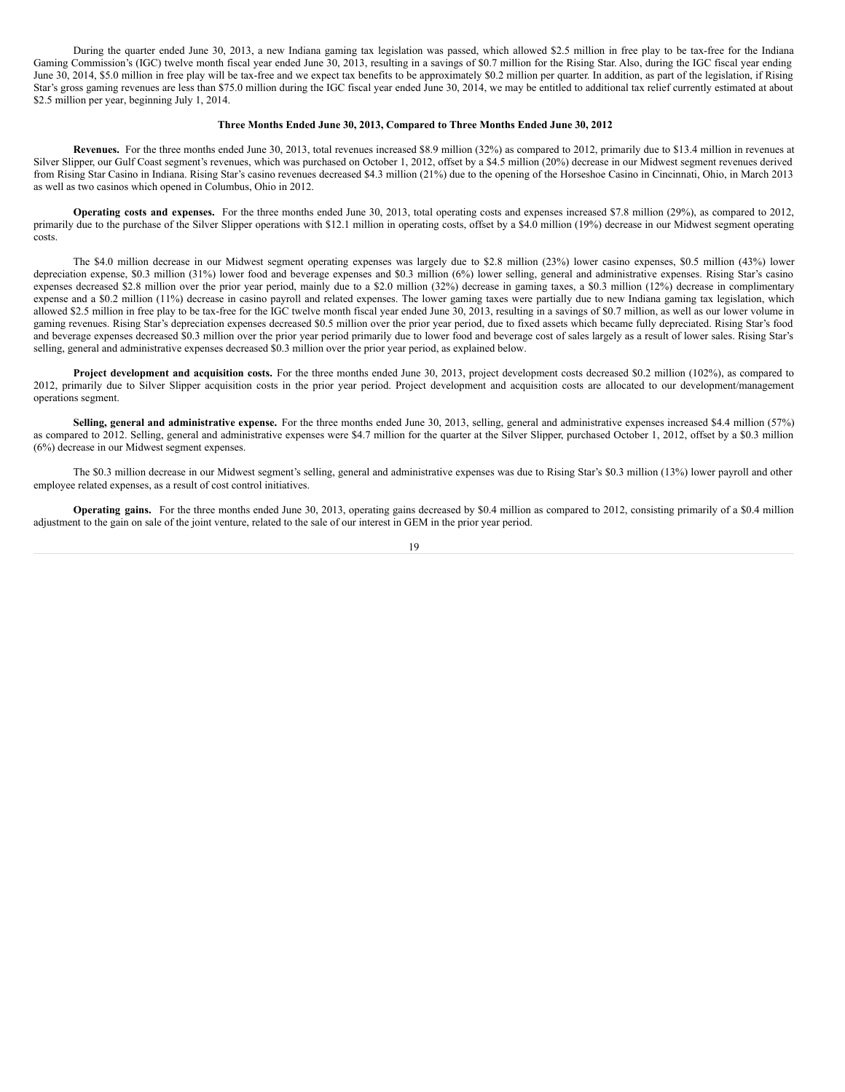During the quarter ended June 30, 2013, a new Indiana gaming tax legislation was passed, which allowed \$2.5 million in free play to be tax-free for the Indiana Gaming Commission's (IGC) twelve month fiscal year ended June 30, 2013, resulting in a savings of \$0.7 million for the Rising Star. Also, during the IGC fiscal year ending June 30, 2014, \$5.0 million in free play will be tax-free and we expect tax benefits to be approximately \$0.2 million per quarter. In addition, as part of the legislation, if Rising Star's gross gaming revenues are less than \$75.0 million during the IGC fiscal year ended June 30, 2014, we may be entitled to additional tax relief currently estimated at about \$2.5 million per year, beginning July 1, 2014.

### **Three Months Ended June 30, 2013, Compared to Three Months Ended June 30, 2012**

Revenues. For the three months ended June 30, 2013, total revenues increased \$8.9 million (32%) as compared to 2012, primarily due to \$13.4 million in revenues at Silver Slipper, our Gulf Coast segment's revenues, which was purchased on October 1, 2012, offset by a \$4.5 million (20%) decrease in our Midwest segment revenues derived from Rising Star Casino in Indiana. Rising Star's casino revenues decreased \$4.3 million (21%) due to the opening of the Horseshoe Casino in Cincinnati, Ohio, in March 2013 as well as two casinos which opened in Columbus, Ohio in 2012.

**Operating costs and expenses.** For the three months ended June 30, 2013, total operating costs and expenses increased \$7.8 million (29%), as compared to 2012, primarily due to the purchase of the Silver Slipper operations with \$12.1 million in operating costs, offset by a \$4.0 million (19%) decrease in our Midwest segment operating costs.

The \$4.0 million decrease in our Midwest segment operating expenses was largely due to \$2.8 million (23%) lower casino expenses, \$0.5 million (43%) lower depreciation expense, \$0.3 million (31%) lower food and beverage expenses and \$0.3 million (6%) lower selling, general and administrative expenses. Rising Star's casino expenses decreased \$2.8 million over the prior year period, mainly due to a \$2.0 million (32%) decrease in gaming taxes, a \$0.3 million (12%) decrease in complimentary expense and a \$0.2 million (11%) decrease in casino payroll and related expenses. The lower gaming taxes were partially due to new Indiana gaming tax legislation, which allowed \$2.5 million in free play to be tax-free for the IGC twelve month fiscal year ended June 30, 2013, resulting in a savings of \$0.7 million, as well as our lower volume in gaming revenues. Rising Star's depreciation expenses decreased \$0.5 million over the prior year period, due to fixed assets which became fully depreciated. Rising Star's food and beverage expenses decreased \$0.3 million over the prior year period primarily due to lower food and beverage cost of sales largely as a result of lower sales. Rising Star's selling, general and administrative expenses decreased \$0.3 million over the prior year period, as explained below.

**Project development and acquisition costs.** For the three months ended June 30, 2013, project development costs decreased \$0.2 million (102%), as compared to 2012, primarily due to Silver Slipper acquisition costs in the prior year period. Project development and acquisition costs are allocated to our development/management operations segment.

**Selling, general and administrative expense.** For the three months ended June 30, 2013, selling, general and administrative expenses increased \$4.4 million (57%) as compared to 2012. Selling, general and administrative expenses were \$4.7 million for the quarter at the Silver Slipper, purchased October 1, 2012, offset by a \$0.3 million (6%) decrease in our Midwest segment expenses.

The \$0.3 million decrease in our Midwest segment's selling, general and administrative expenses was due to Rising Star's \$0.3 million (13%) lower payroll and other employee related expenses, as a result of cost control initiatives.

**Operating gains.** For the three months ended June 30, 2013, operating gains decreased by \$0.4 million as compared to 2012, consisting primarily of a \$0.4 million adjustment to the gain on sale of the joint venture, related to the sale of our interest in GEM in the prior year period.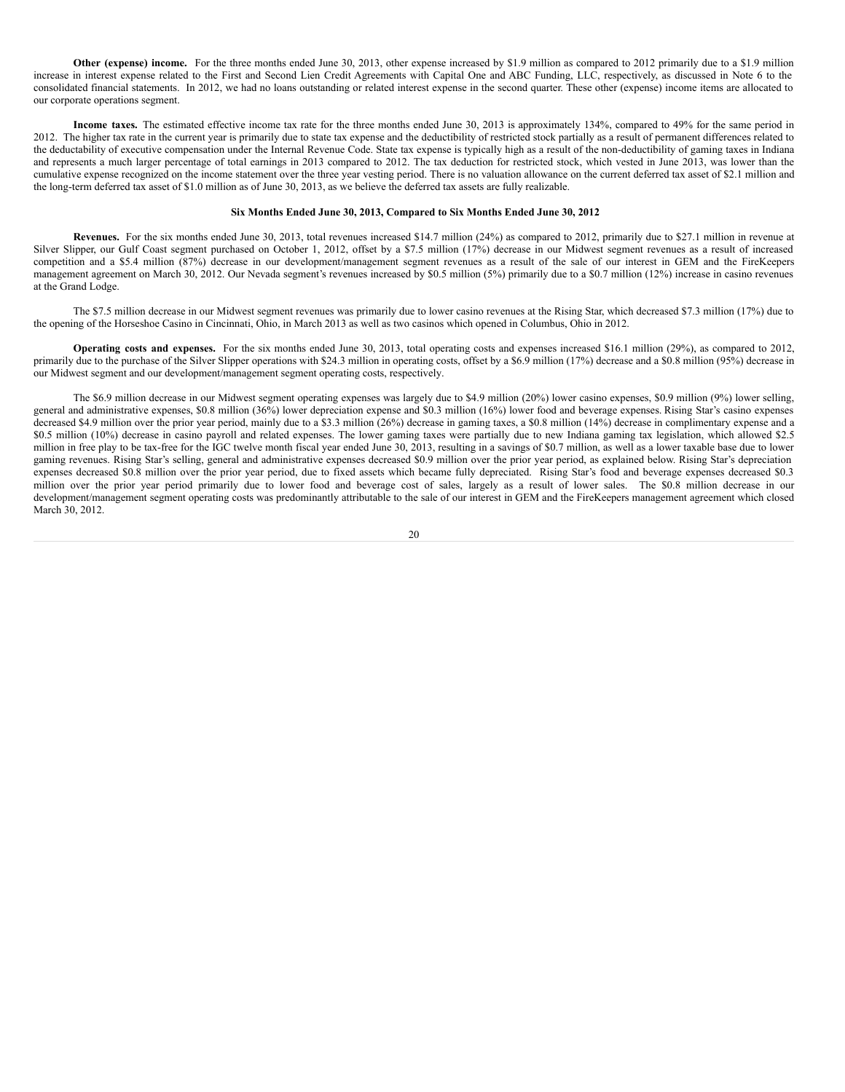**Other (expense) income.** For the three months ended June 30, 2013, other expense increased by \$1.9 million as compared to 2012 primarily due to a \$1.9 million increase in interest expense related to the First and Second Lien Credit Agreements with Capital One and ABC Funding, LLC, respectively, as discussed in Note 6 to the consolidated financial statements. In 2012, we had no loans outstanding or related interest expense in the second quarter. These other (expense) income items are allocated to our corporate operations segment.

**Income taxes.** The estimated effective income tax rate for the three months ended June 30, 2013 is approximately 134%, compared to 49% for the same period in 2012. The higher tax rate in the current year is primarily due to state tax expense and the deductibility of restricted stock partially as a result of permanent differences related to the deductability of executive compensation under the Internal Revenue Code. State tax expense is typically high as a result of the non-deductibility of gaming taxes in Indiana and represents a much larger percentage of total earnings in 2013 compared to 2012. The tax deduction for restricted stock, which vested in June 2013, was lower than the cumulative expense recognized on the income statement over the three year vesting period. There is no valuation allowance on the current deferred tax asset of \$2.1 million and the long-term deferred tax asset of \$1.0 million as of June 30, 2013, as we believe the deferred tax assets are fully realizable.

### **Six Months Ended June 30, 2013, Compared to Six Months Ended June 30, 2012**

**Revenues.** For the six months ended June 30, 2013, total revenues increased \$14.7 million (24%) as compared to 2012, primarily due to \$27.1 million in revenue at Silver Slipper, our Gulf Coast segment purchased on October 1, 2012, offset by a \$7.5 million (17%) decrease in our Midwest segment revenues as a result of increased competition and a \$5.4 million (87%) decrease in our development/management segment revenues as a result of the sale of our interest in GEM and the FireKeepers management agreement on March 30, 2012. Our Nevada segment's revenues increased by \$0.5 million (5%) primarily due to a \$0.7 million (12%) increase in casino revenues at the Grand Lodge.

The \$7.5 million decrease in our Midwest segment revenues was primarily due to lower casino revenues at the Rising Star, which decreased \$7.3 million (17%) due to the opening of the Horseshoe Casino in Cincinnati, Ohio, in March 2013 as well as two casinos which opened in Columbus, Ohio in 2012.

**Operating costs and expenses.** For the six months ended June 30, 2013, total operating costs and expenses increased \$16.1 million (29%), as compared to 2012, primarily due to the purchase of the Silver Slipper operations with \$24.3 million in operating costs, offset by a \$6.9 million (17%) decrease and a \$0.8 million (95%) decrease in our Midwest segment and our development/management segment operating costs, respectively.

The \$6.9 million decrease in our Midwest segment operating expenses was largely due to \$4.9 million (20%) lower casino expenses, \$0.9 million (9%) lower selling, general and administrative expenses, \$0.8 million (36%) lower depreciation expense and \$0.3 million (16%) lower food and beverage expenses. Rising Star's casino expenses decreased \$4.9 million over the prior year period, mainly due to a \$3.3 million (26%) decrease in gaming taxes, a \$0.8 million (14%) decrease in complimentary expense and a \$0.5 million (10%) decrease in casino payroll and related expenses. The lower gaming taxes were partially due to new Indiana gaming tax legislation, which allowed \$2.5 million in free play to be tax-free for the IGC twelve month fiscal year ended June 30, 2013, resulting in a savings of \$0.7 million, as well as a lower taxable base due to lower gaming revenues. Rising Star's selling, general and administrative expenses decreased \$0.9 million over the prior year period, as explained below. Rising Star's depreciation expenses decreased \$0.8 million over the prior year period, due to fixed assets which became fully depreciated. Rising Star's food and beverage expenses decreased \$0.3 million over the prior year period primarily due to lower food and beverage cost of sales, largely as a result of lower sales. The \$0.8 million decrease in our development/management segment operating costs was predominantly attributable to the sale of our interest in GEM and the FireKeepers management agreement which closed March 30, 2012.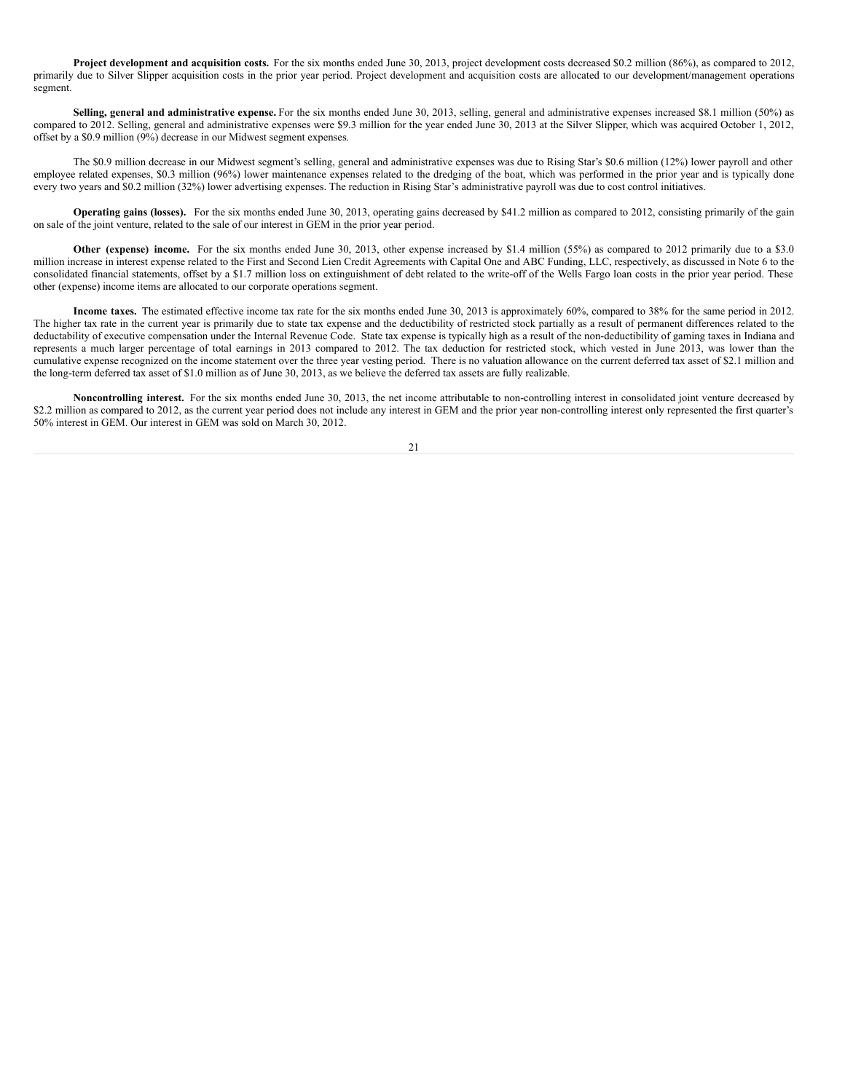**Project development and acquisition costs.** For the six months ended June 30, 2013, project development costs decreased \$0.2 million (86%), as compared to 2012, primarily due to Silver Slipper acquisition costs in the prior year period. Project development and acquisition costs are allocated to our development/management operations segment.

**Selling, general and administrative expense.** For the six months ended June 30, 2013, selling, general and administrative expenses increased \$8.1 million (50%) as compared to 2012. Selling, general and administrative expenses were \$9.3 million for the year ended June 30, 2013 at the Silver Slipper, which was acquired October 1, 2012, offset by a \$0.9 million (9%) decrease in our Midwest segment expenses.

The \$0.9 million decrease in our Midwest segment's selling, general and administrative expenses was due to Rising Star's \$0.6 million (12%) lower payroll and other employee related expenses, \$0.3 million (96%) lower maintenance expenses related to the dredging of the boat, which was performed in the prior year and is typically done every two years and \$0.2 million (32%) lower advertising expenses. The reduction in Rising Star's administrative payroll was due to cost control initiatives.

**Operating gains (losses).** For the six months ended June 30, 2013, operating gains decreased by \$41.2 million as compared to 2012, consisting primarily of the gain on sale of the joint venture, related to the sale of our interest in GEM in the prior year period.

**Other** (expense) income. For the six months ended June 30, 2013, other expense increased by \$1.4 million (55%) as compared to 2012 primarily due to a \$3.0 million increase in interest expense related to the First and Second Lien Credit Agreements with Capital One and ABC Funding, LLC, respectively, as discussed in Note 6 to the consolidated financial statements, offset by a \$1.7 million loss on extinguishment of debt related to the write-off of the Wells Fargo loan costs in the prior year period. These other (expense) income items are allocated to our corporate operations segment.

**Income taxes.** The estimated effective income tax rate for the six months ended June 30, 2013 is approximately 60%, compared to 38% for the same period in 2012. The higher tax rate in the current year is primarily due to state tax expense and the deductibility of restricted stock partially as a result of permanent differences related to the deductability of executive compensation under the Internal Revenue Code. State tax expense is typically high as a result of the non-deductibility of gaming taxes in Indiana and represents a much larger percentage of total earnings in 2013 compared to 2012. The tax deduction for restricted stock, which vested in June 2013, was lower than the cumulative expense recognized on the income statement over the three year vesting period. There is no valuation allowance on the current deferred tax asset of \$2.1 million and the long-term deferred tax asset of \$1.0 million as of June 30, 2013, as we believe the deferred tax assets are fully realizable.

**Noncontrolling interest.** For the six months ended June 30, 2013, the net income attributable to non-controlling interest in consolidated joint venture decreased by \$2.2 million as compared to 2012, as the current year period does not include any interest in GEM and the prior year non-controlling interest only represented the first quarter's 50% interest in GEM. Our interest in GEM was sold on March 30, 2012.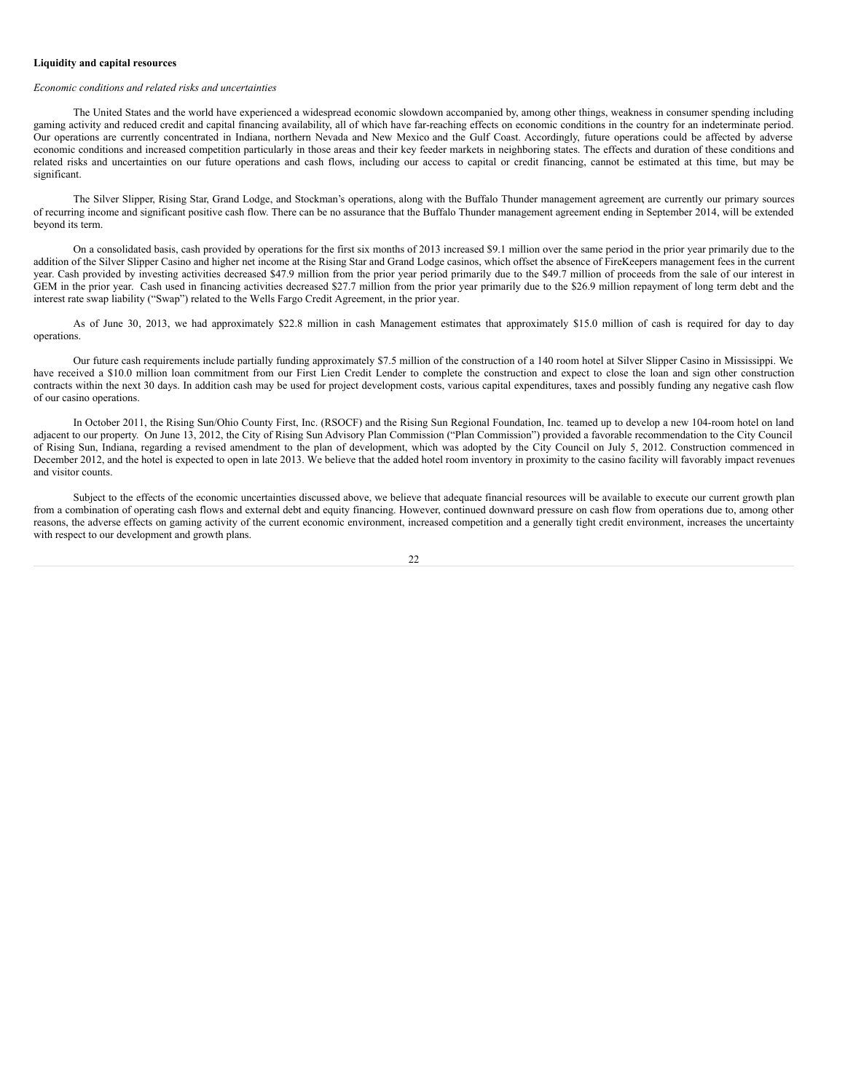### **Liquidity and capital resources**

#### *Economic conditions and related risks and uncertainties*

The United States and the world have experienced a widespread economic slowdown accompanied by, among other things, weakness in consumer spending including gaming activity and reduced credit and capital financing availability, all of which have far-reaching effects on economic conditions in the country for an indeterminate period. Our operations are currently concentrated in Indiana, northern Nevada and New Mexico and the Gulf Coast. Accordingly, future operations could be affected by adverse economic conditions and increased competition particularly in those areas and their key feeder markets in neighboring states. The effects and duration of these conditions and related risks and uncertainties on our future operations and cash flows, including our access to capital or credit financing, cannot be estimated at this time, but may be significant.

The Silver Slipper, Rising Star, Grand Lodge, and Stockman's operations, along with the Buffalo Thunder management agreement are currently our primary sources of recurring income and significant positive cash flow. There can be no assurance that the Buffalo Thunder management agreement ending in September 2014, will be extended beyond its term.

On a consolidated basis, cash provided by operations for the first six months of 2013 increased \$9.1 million over the same period in the prior year primarily due to the addition of the Silver Slipper Casino and higher net income at the Rising Star and Grand Lodge casinos, which offset the absence of FireKeepers management fees in the current year. Cash provided by investing activities decreased \$47.9 million from the prior year period primarily due to the \$49.7 million of proceeds from the sale of our interest in GEM in the prior year. Cash used in financing activities decreased \$27.7 million from the prior year primarily due to the \$26.9 million repayment of long term debt and the interest rate swap liability ("Swap") related to the Wells Fargo Credit Agreement, in the prior year.

As of June 30, 2013, we had approximately \$22.8 million in cash. Management estimates that approximately \$15.0 million of cash is required for day to day operations.

Our future cash requirements include partially funding approximately \$7.5 million of the construction of a 140 room hotel at Silver Slipper Casino in Mississippi. We have received a \$10.0 million loan commitment from our First Lien Credit Lender to complete the construction and expect to close the loan and sign other construction contracts within the next 30 days. In addition cash may be used for project development costs, various capital expenditures, taxes and possibly funding any negative cash flow of our casino operations.

In October 2011, the Rising Sun/Ohio County First, Inc. (RSOCF) and the Rising Sun Regional Foundation, Inc. teamed up to develop a new 104-room hotel on land adjacent to our property. On June 13, 2012, the City of Rising Sun Advisory Plan Commission ("Plan Commission") provided a favorable recommendation to the City Council of Rising Sun, Indiana, regarding a revised amendment to the plan of development, which was adopted by the City Council on July 5, 2012. Construction commenced in December 2012, and the hotel is expected to open in late 2013. We believe that the added hotel room inventory in proximity to the casino facility will favorably impact revenues and visitor counts.

Subject to the effects of the economic uncertainties discussed above, we believe that adequate financial resources will be available to execute our current growth plan from a combination of operating cash flows and external debt and equity financing. However, continued downward pressure on cash flow from operations due to, among other reasons, the adverse effects on gaming activity of the current economic environment, increased competition and a generally tight credit environment, increases the uncertainty with respect to our development and growth plans.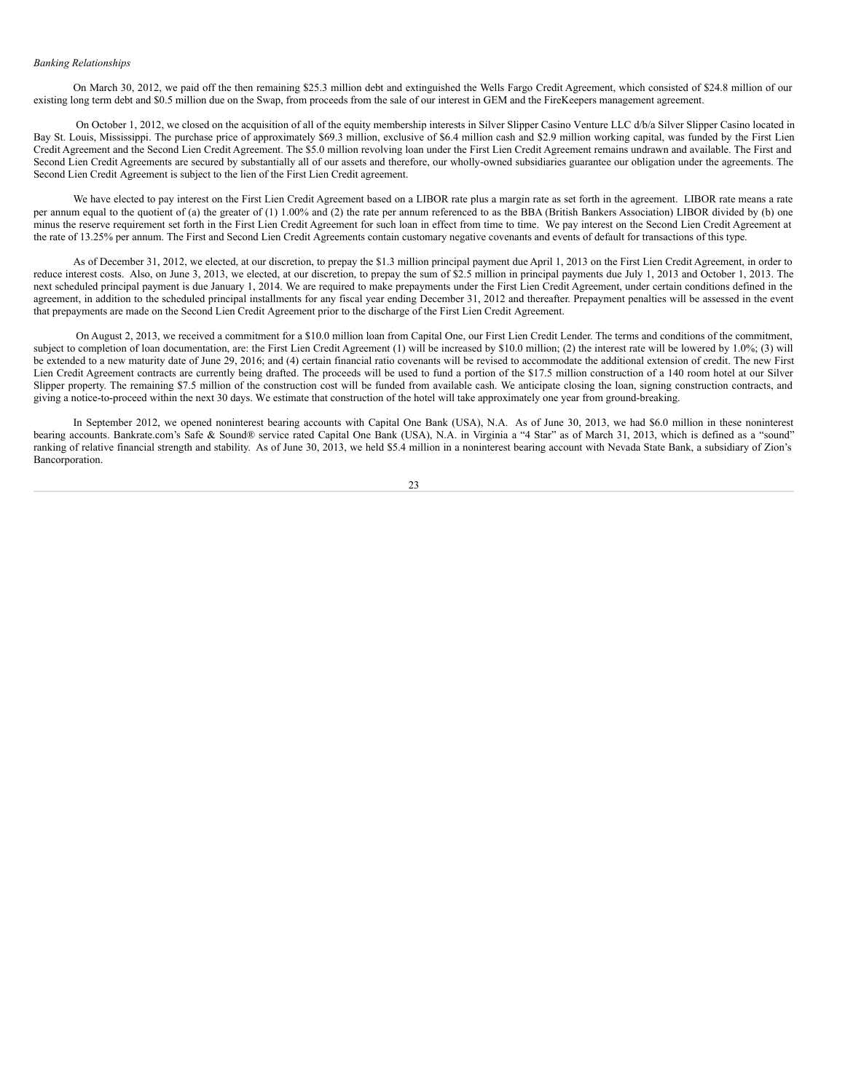#### *Banking Relationships*

On March 30, 2012, we paid off the then remaining \$25.3 million debt and extinguished the Wells Fargo Credit Agreement, which consisted of \$24.8 million of our existing long term debt and \$0.5 million due on the Swap, from proceeds from the sale of our interest in GEM and the FireKeepers management agreement.

On October 1, 2012, we closed on the acquisition of all of the equity membership interests in Silver Slipper Casino Venture LLC d/b/a Silver Slipper Casino located in Bay St. Louis, Mississippi. The purchase price of approximately \$69.3 million, exclusive of \$6.4 million cash and \$2.9 million working capital, was funded by the First Lien Credit Agreement and the Second Lien Credit Agreement. The \$5.0 million revolving loan under the First Lien Credit Agreement remains undrawn and available. The First and Second Lien Credit Agreements are secured by substantially all of our assets and therefore, our wholly-owned subsidiaries guarantee our obligation under the agreements. The Second Lien Credit Agreement is subject to the lien of the First Lien Credit agreement.

We have elected to pay interest on the First Lien Credit Agreement based on a LIBOR rate plus a margin rate as set forth in the agreement. LIBOR rate means a rate per annum equal to the quotient of (a) the greater of (1) 1.00% and (2) the rate per annum referenced to as the BBA (British Bankers Association) LIBOR divided by (b) one minus the reserve requirement set forth in the First Lien Credit Agreement for such loan in effect from time to time. We pay interest on the Second Lien Credit Agreement at the rate of 13.25% per annum. The First and Second Lien Credit Agreements contain customary negative covenants and events of default for transactions of this type.

As of December 31, 2012, we elected, at our discretion, to prepay the \$1.3 million principal payment due April 1, 2013 on the First Lien Credit Agreement, in order to reduce interest costs. Also, on June 3, 2013, we elected, at our discretion, to prepay the sum of \$2.5 million in principal payments due July 1, 2013 and October 1, 2013. The next scheduled principal payment is due January 1, 2014. We are required to make prepayments under the First Lien Credit Agreement, under certain conditions defined in the agreement, in addition to the scheduled principal installments for any fiscal year ending December 31, 2012 and thereafter. Prepayment penalties will be assessed in the event that prepayments are made on the Second Lien Credit Agreement prior to the discharge of the First Lien Credit Agreement.

On August 2, 2013, we received a commitment for a \$10.0 million loan from Capital One, our First Lien Credit Lender. The terms and conditions of the commitment, subject to completion of loan documentation, are: the First Lien Credit Agreement (1) will be increased by \$10.0 million; (2) the interest rate will be lowered by 1.0%; (3) will be extended to a new maturity date of June 29, 2016; and (4) certain financial ratio covenants will be revised to accommodate the additional extension of credit. The new First Lien Credit Agreement contracts are currently being drafted. The proceeds will be used to fund a portion of the \$17.5 million construction of a 140 room hotel at our Silver Slipper property. The remaining \$7.5 million of the construction cost will be funded from available cash. We anticipate closing the loan, signing construction contracts, and giving a notice-to-proceed within the next 30 days. We estimate that construction of the hotel will take approximately one year from ground-breaking.

In September 2012, we opened noninterest bearing accounts with Capital One Bank (USA), N.A. As of June 30, 2013, we had \$6.0 million in these noninterest bearing accounts. Bankrate.com's Safe & Sound® service rated Capital One Bank (USA), N.A. in Virginia a "4 Star" as of March 31, 2013, which is defined as a "sound" ranking of relative financial strength and stability. As of June 30, 2013, we held \$5.4 million in a noninterest bearing account with Nevada State Bank, a subsidiary of Zion's Bancorporation.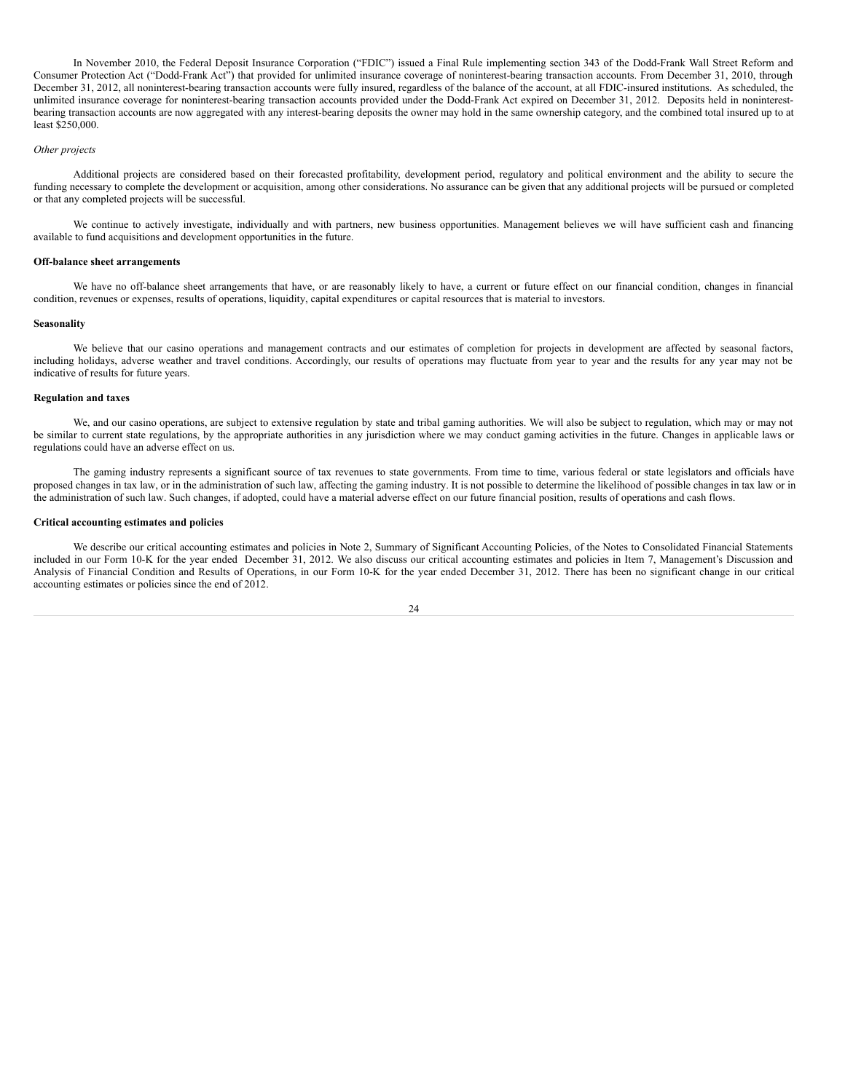In November 2010, the Federal Deposit Insurance Corporation ("FDIC") issued a Final Rule implementing section 343 of the Dodd-Frank Wall Street Reform and Consumer Protection Act ("Dodd-Frank Act") that provided for unlimited insurance coverage of noninterest-bearing transaction accounts. From December 31, 2010, through December 31, 2012, all noninterest-bearing transaction accounts were fully insured, regardless of the balance of the account, at all FDIC-insured institutions. As scheduled, the unlimited insurance coverage for noninterest-bearing transaction accounts provided under the Dodd-Frank Act expired on December 31, 2012. Deposits held in noninterestbearing transaction accounts are now aggregated with any interest-bearing deposits the owner may hold in the same ownership category, and the combined total insured up to at least \$250,000.

#### *Other projects*

Additional projects are considered based on their forecasted profitability, development period, regulatory and political environment and the ability to secure the funding necessary to complete the development or acquisition, among other considerations. No assurance can be given that any additional projects will be pursued or completed or that any completed projects will be successful.

We continue to actively investigate, individually and with partners, new business opportunities. Management believes we will have sufficient cash and financing available to fund acquisitions and development opportunities in the future.

#### **Off-balance sheet arrangements**

We have no off-balance sheet arrangements that have, or are reasonably likely to have, a current or future effect on our financial condition, changes in financial condition, revenues or expenses, results of operations, liquidity, capital expenditures or capital resources that is material to investors.

#### **Seasonality**

We believe that our casino operations and management contracts and our estimates of completion for projects in development are affected by seasonal factors, including holidays, adverse weather and travel conditions. Accordingly, our results of operations may fluctuate from year to year and the results for any year may not be indicative of results for future years.

#### **Regulation and taxes**

We, and our casino operations, are subject to extensive regulation by state and tribal gaming authorities. We will also be subject to regulation, which may or may not be similar to current state regulations, by the appropriate authorities in any jurisdiction where we may conduct gaming activities in the future. Changes in applicable laws or regulations could have an adverse effect on us.

The gaming industry represents a significant source of tax revenues to state governments. From time to time, various federal or state legislators and officials have proposed changes in tax law, or in the administration of such law, affecting the gaming industry. It is not possible to determine the likelihood of possible changes in tax law or in the administration of such law. Such changes, if adopted, could have a material adverse effect on our future financial position, results of operations and cash flows.

#### **Critical accounting estimates and policies**

We describe our critical accounting estimates and policies in Note 2, Summary of Significant Accounting Policies, of the Notes to Consolidated Financial Statements included in our Form 10-K for the year ended December 31, 2012. We also discuss our critical accounting estimates and policies in Item 7, Management's Discussion and Analysis of Financial Condition and Results of Operations, in our Form 10-K for the year ended December 31, 2012. There has been no significant change in our critical accounting estimates or policies since the end of 2012.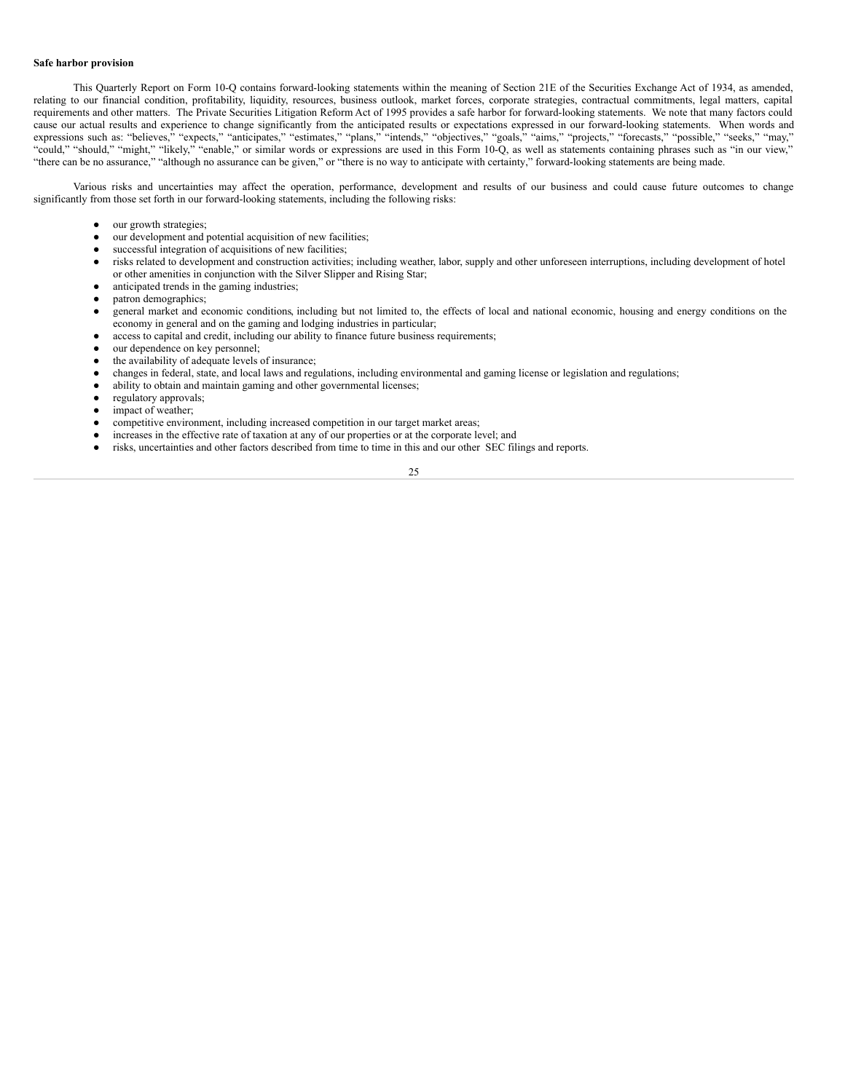#### **Safe harbor provision**

This Quarterly Report on Form 10-Q contains forward-looking statements within the meaning of Section 21E of the Securities Exchange Act of 1934, as amended, relating to our financial condition, profitability, liquidity, resources, business outlook, market forces, corporate strategies, contractual commitments, legal matters, capital requirements and other matters. The Private Securities Litigation Reform Act of 1995 provides a safe harbor for forward-looking statements. We note that many factors could cause our actual results and experience to change significantly from the anticipated results or expectations expressed in our forward-looking statements. When words and expressions such as: "believes," "expects," "anticipates," "estimates," "plans," "intends," "objectives," "goals," "aims," "projects," "forecasts," "possible," "seeks," "may," "could," "should," "might," "likely," "enable," or similar words or expressions are used in this Form 10-Q, as well as statements containing phrases such as "in our view," "there can be no assurance," "although no assurance can be given," or "there is no way to anticipate with certainty," forward-looking statements are being made.

Various risks and uncertainties may affect the operation, performance, development and results of our business and could cause future outcomes to change significantly from those set forth in our forward-looking statements, including the following risks:

- our growth strategies;
- our development and potential acquisition of new facilities;
- $s$ uccessful integration of acquisitions of new facilities;
- risks related to development and construction activities; including weather, labor, supply and other unforeseen interruptions, including development of hotel or other amenities in conjunction with the Silver Slipper and Rising Star;
- anticipated trends in the gaming industries;
- patron demographics;
- general market and economic conditions, including but not limited to, the effects of local and national economic, housing and energy conditions on the economy in general and on the gaming and lodging industries in particular;
- access to capital and credit, including our ability to finance future business requirements;
- our dependence on key personnel;
- the availability of adequate levels of insurance;
- changes in federal, state, and local laws and regulations, including environmental and gaming license or legislation and regulations;
- ability to obtain and maintain gaming and other governmental licenses;
- regulatory approvals;
- impact of weather;
- competitive environment, including increased competition in our target market areas;
- increases in the effective rate of taxation at any of our properties or at the corporate level; and
- risks, uncertainties and other factors described from time to time in this and our other SEC filings and reports.
	- 25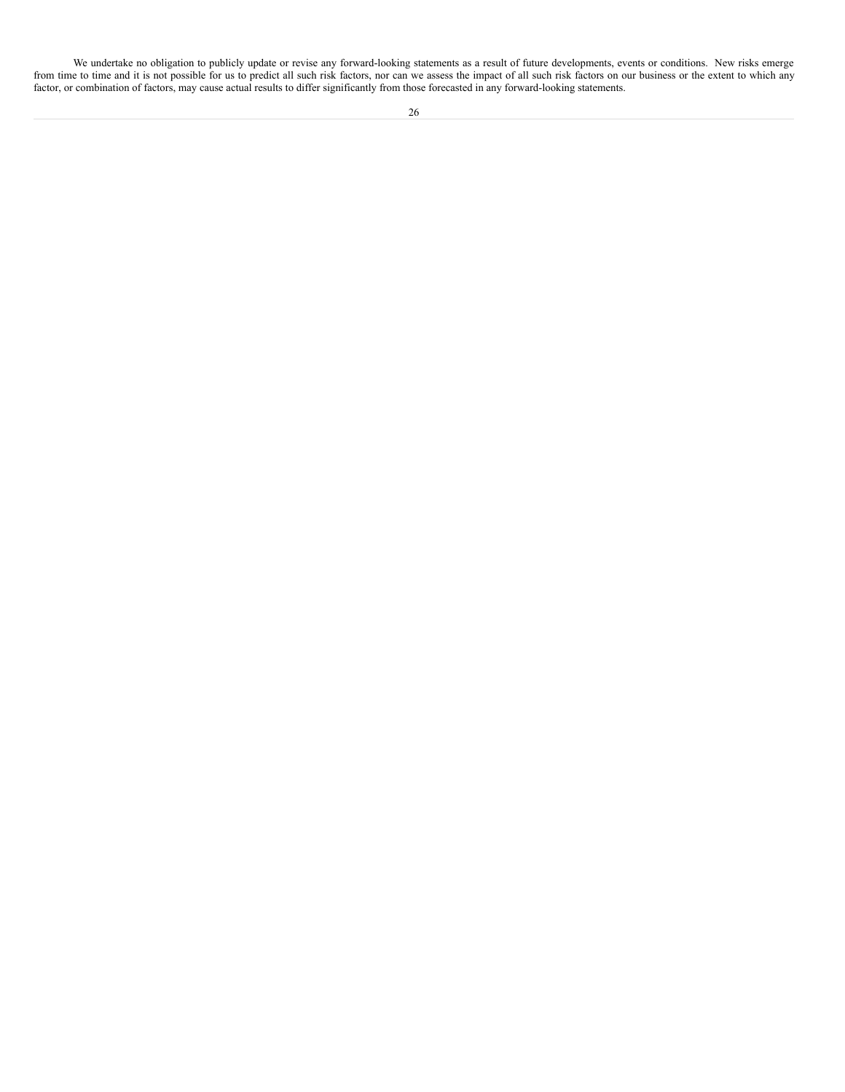We undertake no obligation to publicly update or revise any forward-looking statements as a result of future developments, events or conditions. New risks emerge from time to time and it is not possible for us to predict all such risk factors, nor can we assess the impact of all such risk factors on our business or the extent to which any factor, or combination of factors, may cause actual results to differ significantly from those forecasted in any forward-looking statements.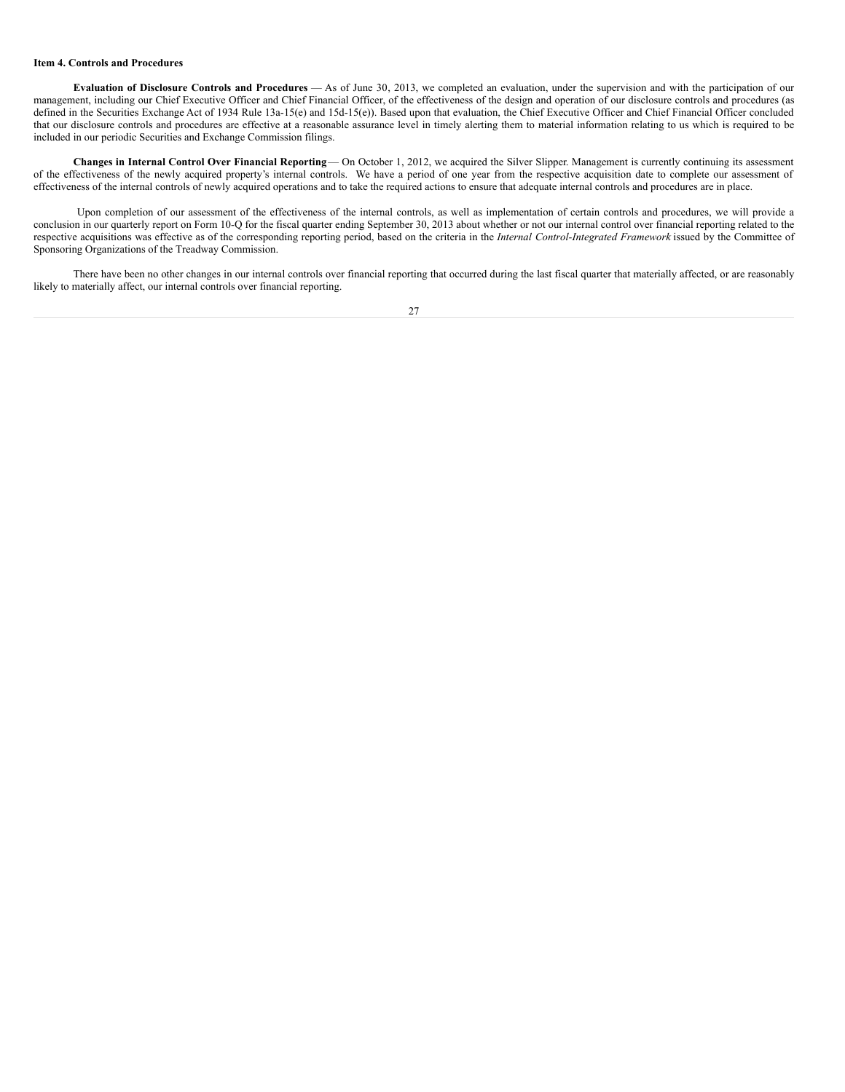#### **Item 4. Controls and Procedures**

**Evaluation of Disclosure Controls and Procedures** — As of June 30, 2013, we completed an evaluation, under the supervision and with the participation of our management, including our Chief Executive Officer and Chief Financial Officer, of the effectiveness of the design and operation of our disclosure controls and procedures (as defined in the Securities Exchange Act of 1934 Rule 13a-15(e) and 15d-15(e)). Based upon that evaluation, the Chief Executive Officer and Chief Financial Officer concluded that our disclosure controls and procedures are effective at a reasonable assurance level in timely alerting them to material information relating to us which is required to be included in our periodic Securities and Exchange Commission filings.

**Changes in Internal Control Over Financial Reporting**— On October 1, 2012, we acquired the Silver Slipper. Management is currently continuing its assessment of the effectiveness of the newly acquired property's internal controls. We have a period of one year from the respective acquisition date to complete our assessment of effectiveness of the internal controls of newly acquired operations and to take the required actions to ensure that adequate internal controls and procedures are in place.

Upon completion of our assessment of the effectiveness of the internal controls, as well as implementation of certain controls and procedures, we will provide a conclusion in our quarterly report on Form 10-Q for the fiscal quarter ending September 30, 2013 about whether or not our internal control over financial reporting related to the respective acquisitions was effective as of the corresponding reporting period, based on the criteria in the *Internal Control-Integrated Framework* issued by the Committee of Sponsoring Organizations of the Treadway Commission.

There have been no other changes in our internal controls over financial reporting that occurred during the last fiscal quarter that materially affected, or are reasonably likely to materially affect, our internal controls over financial reporting.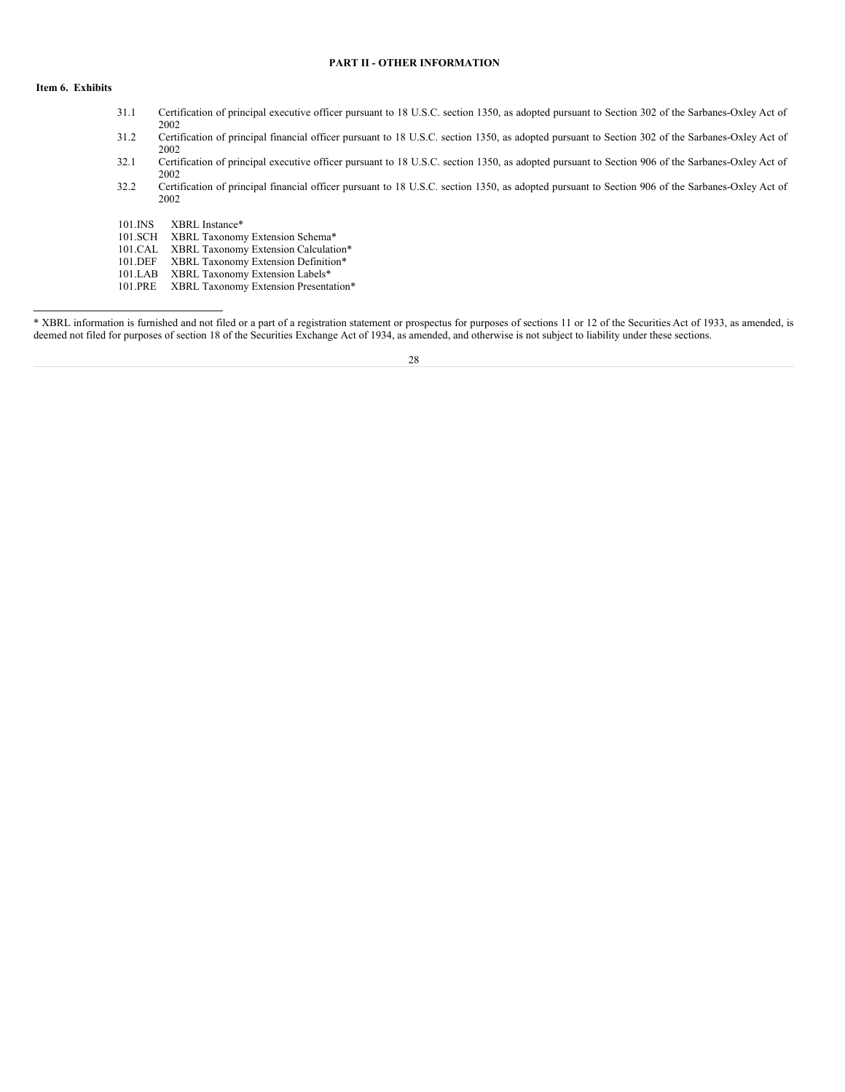## **PART II - OTHER INFORMATION**

#### **Item 6. Exhibits**

- 31.1 Certification of principal executive officer pursuant to 18 U.S.C. section 1350, as adopted pursuant to Section 302 of the Sarbanes-Oxley Act of 2002
- 31.2 Certification of principal financial officer pursuant to 18 U.S.C. section 1350, as adopted pursuant to Section 302 of the Sarbanes-Oxley Act of 2002
- 32.1 Certification of principal executive officer pursuant to 18 U.S.C. section 1350, as adopted pursuant to Section 906 of the Sarbanes-Oxley Act of 2002
- 32.2 Certification of principal financial officer pursuant to 18 U.S.C. section 1350, as adopted pursuant to Section 906 of the Sarbanes-Oxley Act of 2002
- 101.INS XBRL Instance\*
- 101.SCH XBRL Taxonomy Extension Schema\*
- 101.CAL XBRL Taxonomy Extension Calculation\*
- 101.DEF XBRL Taxonomy Extension Definition\* 101.LAB XBRL Taxonomy Extension Labels\*
- 
- 101.PRE XBRL Taxonomy Extension Presentation\*

\* XBRL information is furnished and not filed or a part of a registration statement or prospectus for purposes of sections 11 or 12 of the Securities Act of 1933, as amended, is deemed not filed for purposes of section 18 of the Securities Exchange Act of 1934, as amended, and otherwise is not subject to liability under these sections.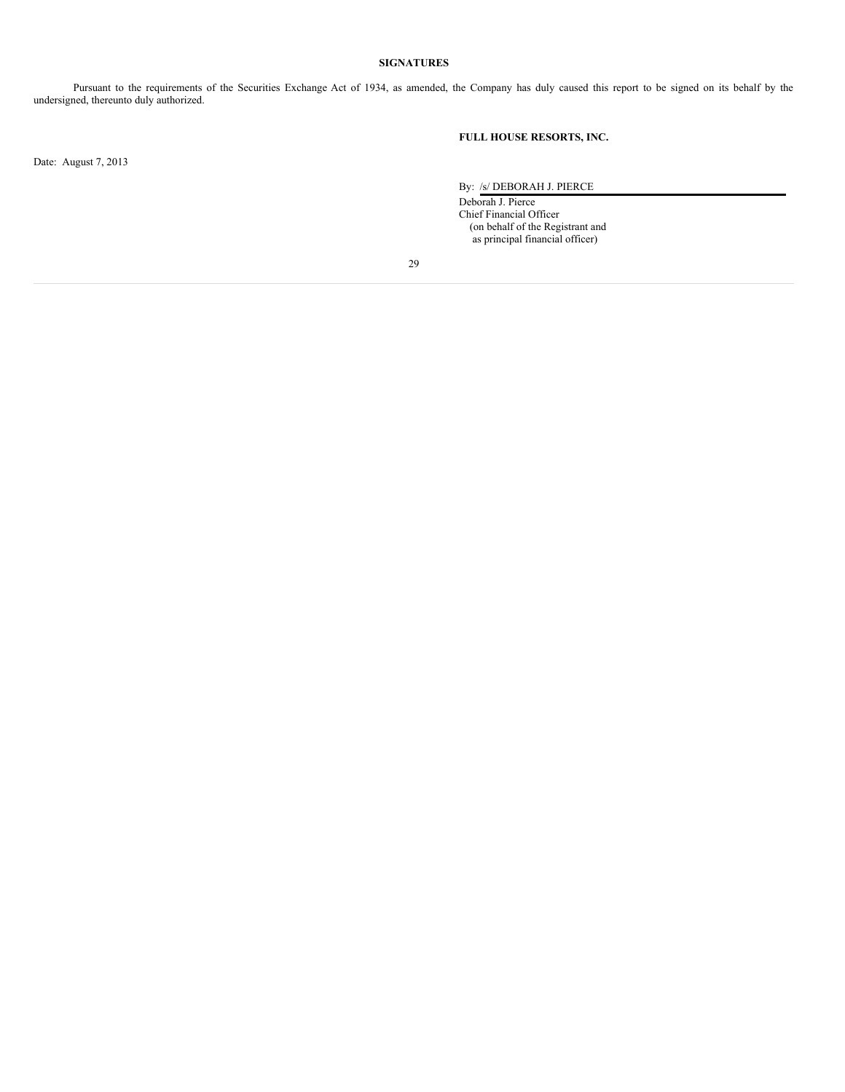# **SIGNATURES**

Pursuant to the requirements of the Securities Exchange Act of 1934, as amended, the Company has duly caused this report to be signed on its behalf by the undersigned, thereunto duly authorized.

# **FULL HOUSE RESORTS, INC.**

By: /s/ DEBORAH J. PIERCE

Deborah J. Pierce Chief Financial Officer (on behalf of the Registrant and as principal financial officer)

Date: August 7, 2013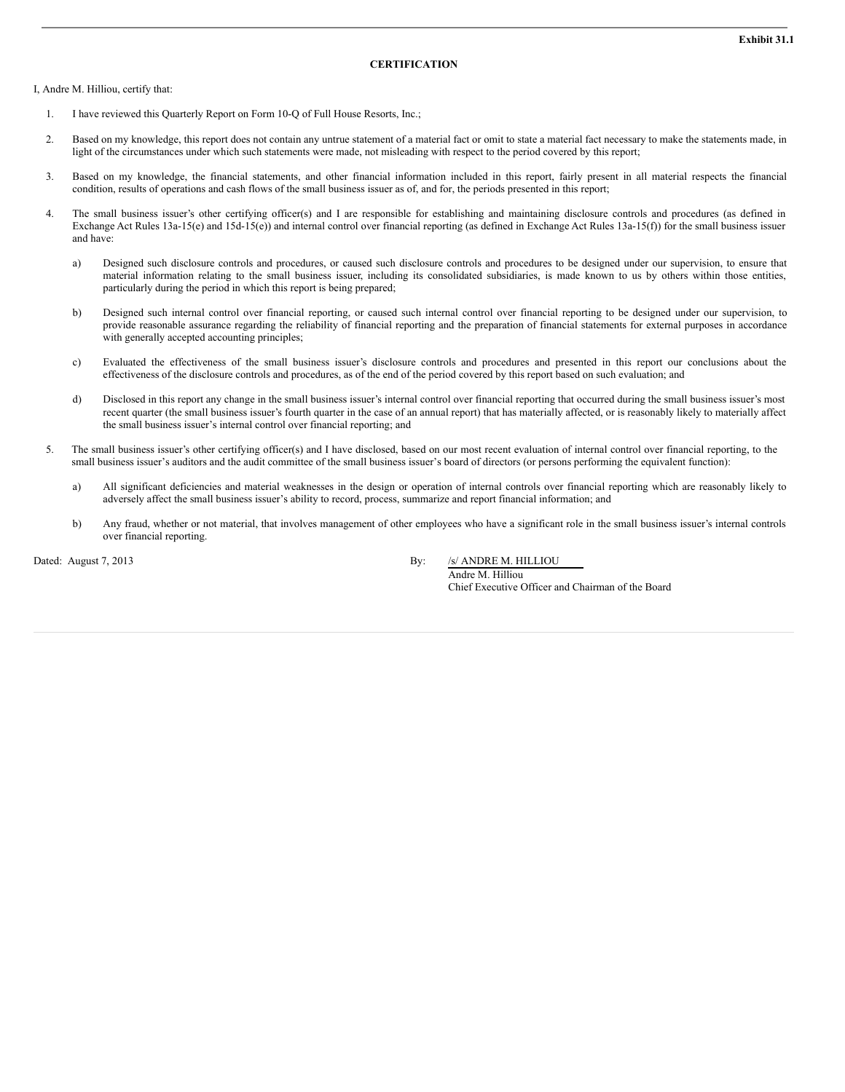#### **CERTIFICATION**

I, Andre M. Hilliou, certify that:

- 1. I have reviewed this Quarterly Report on Form 10-Q of Full House Resorts, Inc.;
- 2. Based on my knowledge, this report does not contain any untrue statement of a material fact or omit to state a material fact necessary to make the statements made, in light of the circumstances under which such statements were made, not misleading with respect to the period covered by this report;
- 3. Based on my knowledge, the financial statements, and other financial information included in this report, fairly present in all material respects the financial condition, results of operations and cash flows of the small business issuer as of, and for, the periods presented in this report;
- 4. The small business issuer's other certifying officer(s) and I are responsible for establishing and maintaining disclosure controls and procedures (as defined in Exchange Act Rules 13a-15(e) and 15d-15(e)) and internal control over financial reporting (as defined in Exchange Act Rules 13a-15(f)) for the small business issuer and have:
	- a) Designed such disclosure controls and procedures, or caused such disclosure controls and procedures to be designed under our supervision, to ensure that material information relating to the small business issuer, including its consolidated subsidiaries, is made known to us by others within those entities, particularly during the period in which this report is being prepared;
	- b) Designed such internal control over financial reporting, or caused such internal control over financial reporting to be designed under our supervision, to provide reasonable assurance regarding the reliability of financial reporting and the preparation of financial statements for external purposes in accordance with generally accepted accounting principles;
	- c) Evaluated the effectiveness of the small business issuer's disclosure controls and procedures and presented in this report our conclusions about the effectiveness of the disclosure controls and procedures, as of the end of the period covered by this report based on such evaluation; and
	- d) Disclosed in this report any change in the small business issuer's internal control over financial reporting that occurred during the small business issuer's most recent quarter (the small business issuer's fourth quarter in the case of an annual report) that has materially affected, or is reasonably likely to materially affect the small business issuer's internal control over financial reporting; and
- 5. The small business issuer's other certifying officer(s) and I have disclosed, based on our most recent evaluation of internal control over financial reporting, to the small business issuer's auditors and the audit committee of the small business issuer's board of directors (or persons performing the equivalent function):
	- a) All significant deficiencies and material weaknesses in the design or operation of internal controls over financial reporting which are reasonably likely to adversely affect the small business issuer's ability to record, process, summarize and report financial information; and
	- b) Any fraud, whether or not material, that involves management of other employees who have a significant role in the small business issuer's internal controls over financial reporting.

Dated: August 7, 2013 By: /s/ ANDRE M. HILLIOU

Andre M. Hilliou Chief Executive Officer and Chairman of the Board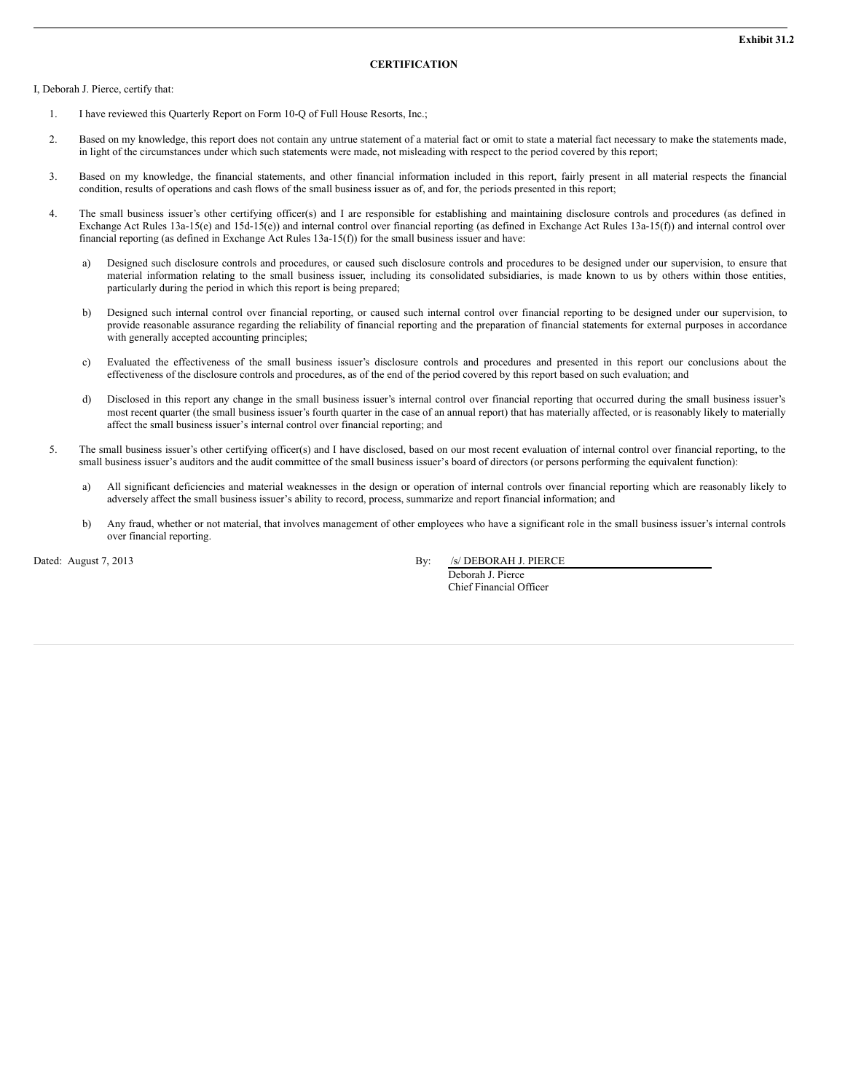#### **CERTIFICATION**

I, Deborah J. Pierce, certify that:

- 1. I have reviewed this Quarterly Report on Form 10-Q of Full House Resorts, Inc.;
- 2. Based on my knowledge, this report does not contain any untrue statement of a material fact or omit to state a material fact necessary to make the statements made, in light of the circumstances under which such statements were made, not misleading with respect to the period covered by this report;
- 3. Based on my knowledge, the financial statements, and other financial information included in this report, fairly present in all material respects the financial condition, results of operations and cash flows of the small business issuer as of, and for, the periods presented in this report;
- 4. The small business issuer's other certifying officer(s) and I are responsible for establishing and maintaining disclosure controls and procedures (as defined in Exchange Act Rules 13a-15(e) and 15d-15(e)) and internal control over financial reporting (as defined in Exchange Act Rules 13a-15(f)) and internal control over financial reporting (as defined in Exchange Act Rules 13a-15(f)) for the small business issuer and have:
	- a) Designed such disclosure controls and procedures, or caused such disclosure controls and procedures to be designed under our supervision, to ensure that material information relating to the small business issuer, including its consolidated subsidiaries, is made known to us by others within those entities, particularly during the period in which this report is being prepared;
	- b) Designed such internal control over financial reporting, or caused such internal control over financial reporting to be designed under our supervision, to provide reasonable assurance regarding the reliability of financial reporting and the preparation of financial statements for external purposes in accordance with generally accepted accounting principles;
	- c) Evaluated the effectiveness of the small business issuer's disclosure controls and procedures and presented in this report our conclusions about the effectiveness of the disclosure controls and procedures, as of the end of the period covered by this report based on such evaluation; and
	- d) Disclosed in this report any change in the small business issuer's internal control over financial reporting that occurred during the small business issuer's most recent quarter (the small business issuer's fourth quarter in the case of an annual report) that has materially affected, or is reasonably likely to materially affect the small business issuer's internal control over financial reporting; and
- 5. The small business issuer's other certifying officer(s) and I have disclosed, based on our most recent evaluation of internal control over financial reporting, to the small business issuer's auditors and the audit committee of the small business issuer's board of directors (or persons performing the equivalent function):
	- a) All significant deficiencies and material weaknesses in the design or operation of internal controls over financial reporting which are reasonably likely to adversely affect the small business issuer's ability to record, process, summarize and report financial information; and
	- b) Any fraud, whether or not material, that involves management of other employees who have a significant role in the small business issuer's internal controls over financial reporting.

Dated: August 7, 2013 By: /s/ DEBORAH J. PIERCE

Deborah J. Pierce Chief Financial Officer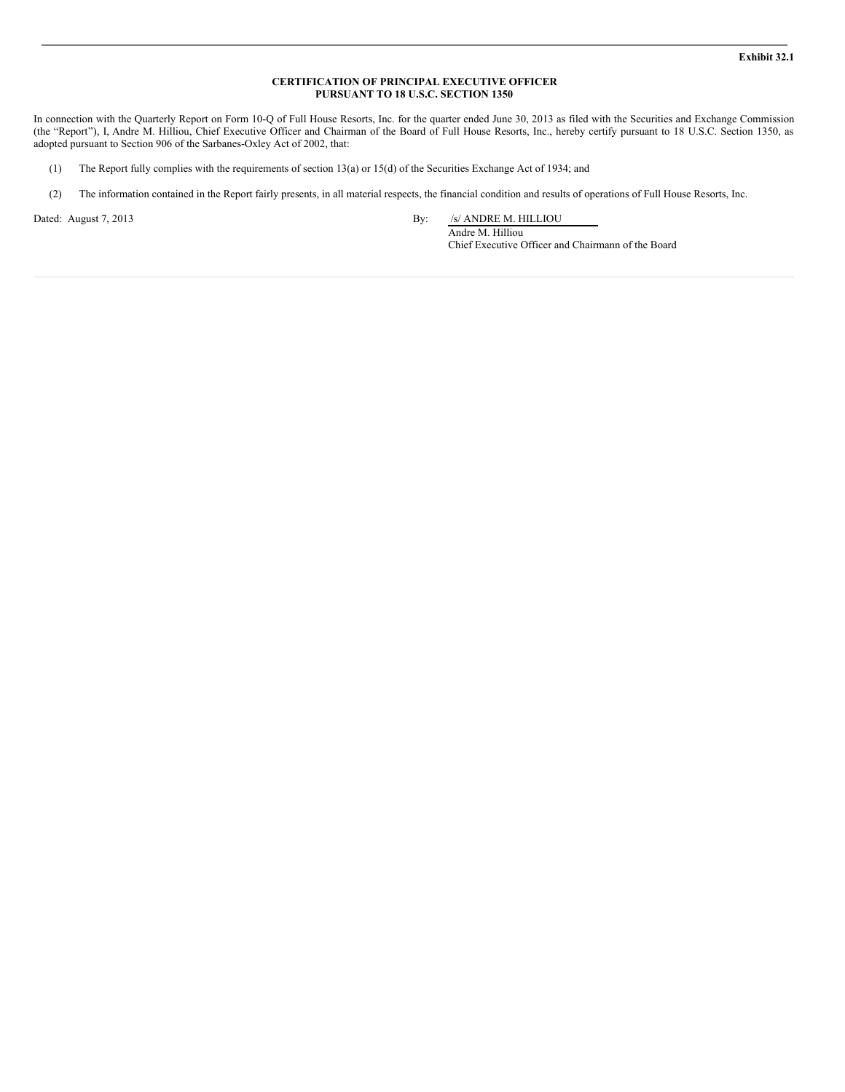### **CERTIFICATION OF PRINCIPAL EXECUTIVE OFFICER PURSUANT TO 18 U.S.C. SECTION 1350**

In connection with the Quarterly Report on Form 10-Q of Full House Resorts, Inc. for the quarter ended June 30, 2013 as filed with the Securities and Exchange Commission (the "Report"), I, Andre M. Hilliou, Chief Executive Officer and Chairman of the Board of Full House Resorts, Inc., hereby certify pursuant to 18 U.S.C. Section 1350, as adopted pursuant to Section 906 of the Sarbanes-Oxley Act of 2002, that:

- (1) The Report fully complies with the requirements of section 13(a) or 15(d) of the Securities Exchange Act of 1934; and
- (2) The information contained in the Report fairly presents, in all material respects, the financial condition and results of operations of Full House Resorts, Inc.

Dated: August 7, 2013 By: /s/ ANDRE M. HILLIOU

Andre M. Hilliou Chief Executive Officer and Chairmann of the Board